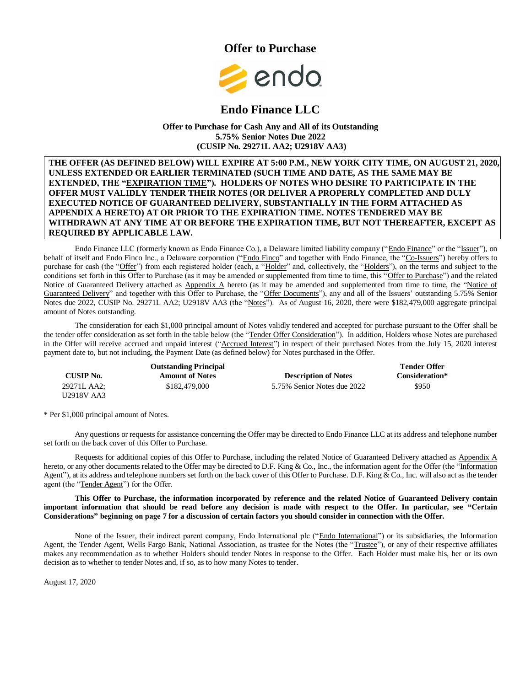



# **Endo Finance LLC**

#### **Offer to Purchase for Cash Any and All of its Outstanding 5.75% Senior Notes Due 2022 (CUSIP No. 29271L AA2; U2918V AA3)**

#### **THE OFFER (AS DEFINED BELOW) WILL EXPIRE AT 5:00 P.M., NEW YORK CITY TIME, ON AUGUST 21, 2020, UNLESS EXTENDED OR EARLIER TERMINATED (SUCH TIME AND DATE, AS THE SAME MAY BE EXTENDED, THE "EXPIRATION TIME"). HOLDERS OF NOTES WHO DESIRE TO PARTICIPATE IN THE OFFER MUST VALIDLY TENDER THEIR NOTES (OR DELIVER A PROPERLY COMPLETED AND DULY EXECUTED NOTICE OF GUARANTEED DELIVERY, SUBSTANTIALLY IN THE FORM ATTACHED AS APPENDIX A HERETO) AT OR PRIOR TO THE EXPIRATION TIME. NOTES TENDERED MAY BE WITHDRAWN AT ANY TIME AT OR BEFORE THE EXPIRATION TIME, BUT NOT THEREAFTER, EXCEPT AS REQUIRED BY APPLICABLE LAW.**

Endo Finance LLC (formerly known as Endo Finance Co.), a Delaware limited liability company ("Endo Finance" or the "Issuer"), on behalf of itself and Endo Finco Inc., a Delaware corporation ("Endo Finco" and together with Endo Finance, the "Co-Issuers") hereby offers to purchase for cash (the "Offer") from each registered holder (each, a "Holder" and, collectively, the "Holders"), on the terms and subject to the conditions set forth in this Offer to Purchase (as it may be amended or supplemented from time to time, this "Offer to Purchase") and the related Notice of Guaranteed Delivery attached as Appendix  $\triangle$  hereto (as it may be amended and supplemented from time to time, the "Notice of Guaranteed Delivery" and together with this Offer to Purchase, the "Offer Documents"), any and all of the Issuers' outstanding 5.75% Senior Notes due 2022, CUSIP No. 29271L AA2; U2918V AA3 (the "Notes"). As of August 16, 2020, there were \$182,479,000 aggregate principal amount of Notes outstanding.

The consideration for each \$1,000 principal amount of Notes validly tendered and accepted for purchase pursuant to the Offer shall be the tender offer consideration as set forth in the table below (the "Tender Offer Consideration"). In addition, Holders whose Notes are purchased in the Offer will receive accrued and unpaid interest ("Accrued Interest") in respect of their purchased Notes from the July 15, 2020 interest payment date to, but not including, the Payment Date (as defined below) for Notes purchased in the Offer.

| <b>Outstanding Principal</b> |                        |                             | <b>Tender Offer</b> |
|------------------------------|------------------------|-----------------------------|---------------------|
| <b>CUSIP No.</b>             | <b>Amount of Notes</b> | <b>Description of Notes</b> | Consideration*      |
| 29271L AA2:                  | \$182,479,000          | 5.75% Senior Notes due 2022 | \$950               |
| U2918V AA3                   |                        |                             |                     |

\* Per \$1,000 principal amount of Notes.

Any questions or requests for assistance concerning the Offer may be directed to Endo Finance LLC at its address and telephone number set forth on the back cover of this Offer to Purchase.

Requests for additional copies of this Offer to Purchase, including the related Notice of Guaranteed Delivery attached as Appendix A hereto, or any other documents related to the Offer may be directed to D.F. King & Co., Inc., the information agent for the Offer (the "Information") Agent"), at its address and telephone numbers set forth on the back cover of this Offer to Purchase. D.F. King & Co., Inc. will also act as the tender agent (the "Tender Agent") for the Offer.

#### **This Offer to Purchase, the information incorporated by reference and the related Notice of Guaranteed Delivery contain important information that should be read before any decision is made with respect to the Offer. In particular, see "Certain Considerations" beginning on page 7 for a discussion of certain factors you should consider in connection with the Offer.**

None of the Issuer, their indirect parent company, Endo International plc ("Endo International") or its subsidiaries, the Information Agent, the Tender Agent, Wells Fargo Bank, National Association, as trustee for the Notes (the "Trustee"), or any of their respective affiliates makes any recommendation as to whether Holders should tender Notes in response to the Offer. Each Holder must make his, her or its own decision as to whether to tender Notes and, if so, as to how many Notes to tender.

August 17, 2020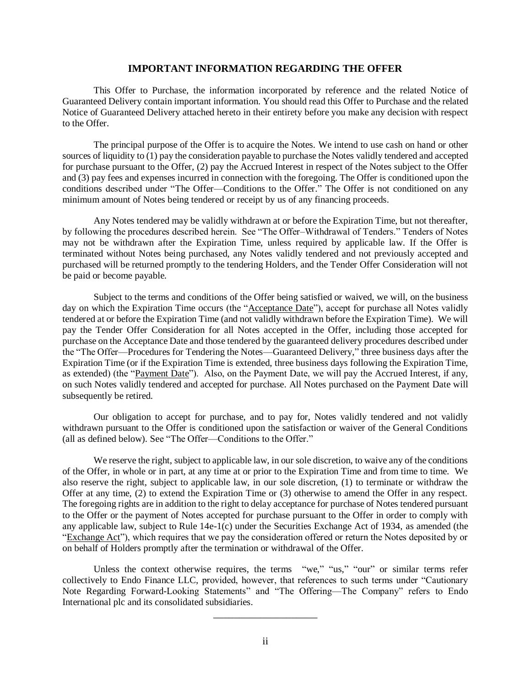## **IMPORTANT INFORMATION REGARDING THE OFFER**

<span id="page-1-0"></span>This Offer to Purchase, the information incorporated by reference and the related Notice of Guaranteed Delivery contain important information. You should read this Offer to Purchase and the related Notice of Guaranteed Delivery attached hereto in their entirety before you make any decision with respect to the Offer.

The principal purpose of the Offer is to acquire the Notes. We intend to use cash on hand or other sources of liquidity to (1) pay the consideration payable to purchase the Notes validly tendered and accepted for purchase pursuant to the Offer, (2) pay the Accrued Interest in respect of the Notes subject to the Offer and (3) pay fees and expenses incurred in connection with the foregoing. The Offer is conditioned upon the conditions described under "The Offer—Conditions to the Offer." The Offer is not conditioned on any minimum amount of Notes being tendered or receipt by us of any financing proceeds.

Any Notes tendered may be validly withdrawn at or before the Expiration Time, but not thereafter, by following the procedures described herein. See "The Offer–Withdrawal of Tenders." Tenders of Notes may not be withdrawn after the Expiration Time, unless required by applicable law. If the Offer is terminated without Notes being purchased, any Notes validly tendered and not previously accepted and purchased will be returned promptly to the tendering Holders, and the Tender Offer Consideration will not be paid or become payable.

Subject to the terms and conditions of the Offer being satisfied or waived, we will, on the business day on which the Expiration Time occurs (the "Acceptance Date"), accept for purchase all Notes validly tendered at or before the Expiration Time (and not validly withdrawn before the Expiration Time). We will pay the Tender Offer Consideration for all Notes accepted in the Offer, including those accepted for purchase on the Acceptance Date and those tendered by the guaranteed delivery procedures described under the "The Offer—Procedures for Tendering the Notes—Guaranteed Delivery," three business days after the Expiration Time (or if the Expiration Time is extended, three business days following the Expiration Time, as extended) (the "Payment Date"). Also, on the Payment Date, we will pay the Accrued Interest, if any, on such Notes validly tendered and accepted for purchase. All Notes purchased on the Payment Date will subsequently be retired.

Our obligation to accept for purchase, and to pay for, Notes validly tendered and not validly withdrawn pursuant to the Offer is conditioned upon the satisfaction or waiver of the General Conditions (all as defined below). See "The Offer—Conditions to the Offer."

We reserve the right, subject to applicable law, in our sole discretion, to waive any of the conditions of the Offer, in whole or in part, at any time at or prior to the Expiration Time and from time to time. We also reserve the right, subject to applicable law, in our sole discretion, (1) to terminate or withdraw the Offer at any time, (2) to extend the Expiration Time or (3) otherwise to amend the Offer in any respect. The foregoing rights are in addition to the right to delay acceptance for purchase of Notes tendered pursuant to the Offer or the payment of Notes accepted for purchase pursuant to the Offer in order to comply with any applicable law, subject to Rule 14e-1(c) under the Securities Exchange Act of 1934, as amended (the "Exchange Act"), which requires that we pay the consideration offered or return the Notes deposited by or on behalf of Holders promptly after the termination or withdrawal of the Offer.

Unless the context otherwise requires, the terms "we," "us," "our" or similar terms refer collectively to Endo Finance LLC, provided, however, that references to such terms under "Cautionary Note Regarding Forward-Looking Statements" and "The Offering—The Company" refers to Endo International plc and its consolidated subsidiaries.

\_\_\_\_\_\_\_\_\_\_\_\_\_\_\_\_\_\_\_\_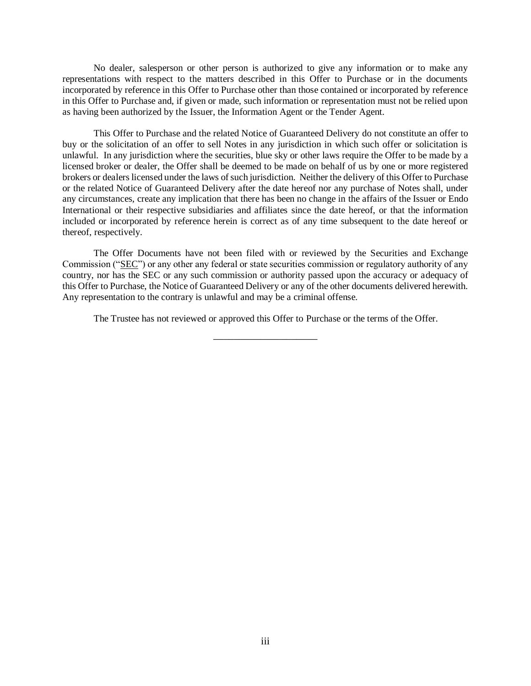No dealer, salesperson or other person is authorized to give any information or to make any representations with respect to the matters described in this Offer to Purchase or in the documents incorporated by reference in this Offer to Purchase other than those contained or incorporated by reference in this Offer to Purchase and, if given or made, such information or representation must not be relied upon as having been authorized by the Issuer, the Information Agent or the Tender Agent.

This Offer to Purchase and the related Notice of Guaranteed Delivery do not constitute an offer to buy or the solicitation of an offer to sell Notes in any jurisdiction in which such offer or solicitation is unlawful. In any jurisdiction where the securities, blue sky or other laws require the Offer to be made by a licensed broker or dealer, the Offer shall be deemed to be made on behalf of us by one or more registered brokers or dealers licensed under the laws of such jurisdiction. Neither the delivery of this Offer to Purchase or the related Notice of Guaranteed Delivery after the date hereof nor any purchase of Notes shall, under any circumstances, create any implication that there has been no change in the affairs of the Issuer or Endo International or their respective subsidiaries and affiliates since the date hereof, or that the information included or incorporated by reference herein is correct as of any time subsequent to the date hereof or thereof, respectively.

The Offer Documents have not been filed with or reviewed by the Securities and Exchange Commission ("SEC") or any other any federal or state securities commission or regulatory authority of any country, nor has the SEC or any such commission or authority passed upon the accuracy or adequacy of this Offer to Purchase, the Notice of Guaranteed Delivery or any of the other documents delivered herewith. Any representation to the contrary is unlawful and may be a criminal offense.

The Trustee has not reviewed or approved this Offer to Purchase or the terms of the Offer. \_\_\_\_\_\_\_\_\_\_\_\_\_\_\_\_\_\_\_\_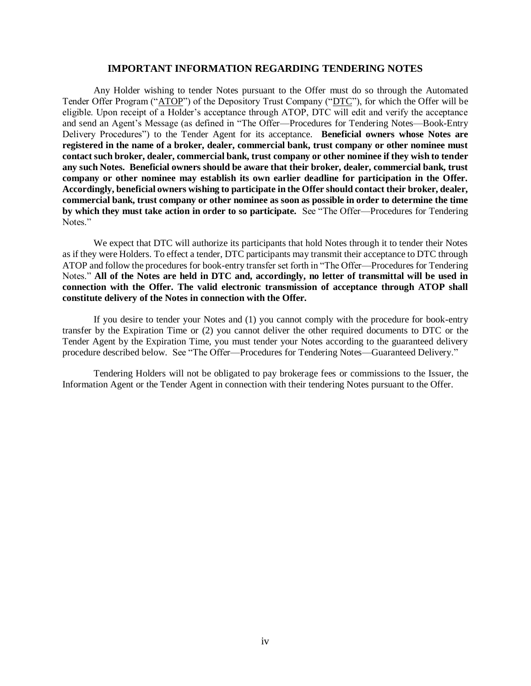#### **IMPORTANT INFORMATION REGARDING TENDERING NOTES**

<span id="page-3-0"></span>Any Holder wishing to tender Notes pursuant to the Offer must do so through the Automated Tender Offer Program ("ATOP") of the Depository Trust Company ("DTC"), for which the Offer will be eligible. Upon receipt of a Holder's acceptance through ATOP, DTC will edit and verify the acceptance and send an Agent's Message (as defined in "The Offer—Procedures for Tendering Notes—Book-Entry Delivery Procedures") to the Tender Agent for its acceptance. **Beneficial owners whose Notes are registered in the name of a broker, dealer, commercial bank, trust company or other nominee must contact such broker, dealer, commercial bank, trust company or other nominee if they wish to tender any such Notes. Beneficial owners should be aware that their broker, dealer, commercial bank, trust company or other nominee may establish its own earlier deadline for participation in the Offer. Accordingly, beneficial owners wishing to participate in the Offer should contact their broker, dealer, commercial bank, trust company or other nominee as soon as possible in order to determine the time by which they must take action in order to so participate.** See "The Offer—Procedures for Tendering Notes."

We expect that DTC will authorize its participants that hold Notes through it to tender their Notes as if they were Holders. To effect a tender, DTC participants may transmit their acceptance to DTC through ATOP and follow the procedures for book-entry transfer set forth in "The Offer—Procedures for Tendering Notes." **All of the Notes are held in DTC and, accordingly, no letter of transmittal will be used in connection with the Offer. The valid electronic transmission of acceptance through ATOP shall constitute delivery of the Notes in connection with the Offer.**

If you desire to tender your Notes and (1) you cannot comply with the procedure for book-entry transfer by the Expiration Time or (2) you cannot deliver the other required documents to DTC or the Tender Agent by the Expiration Time, you must tender your Notes according to the guaranteed delivery procedure described below. See "The Offer—Procedures for Tendering Notes—Guaranteed Delivery."

Tendering Holders will not be obligated to pay brokerage fees or commissions to the Issuer, the Information Agent or the Tender Agent in connection with their tendering Notes pursuant to the Offer.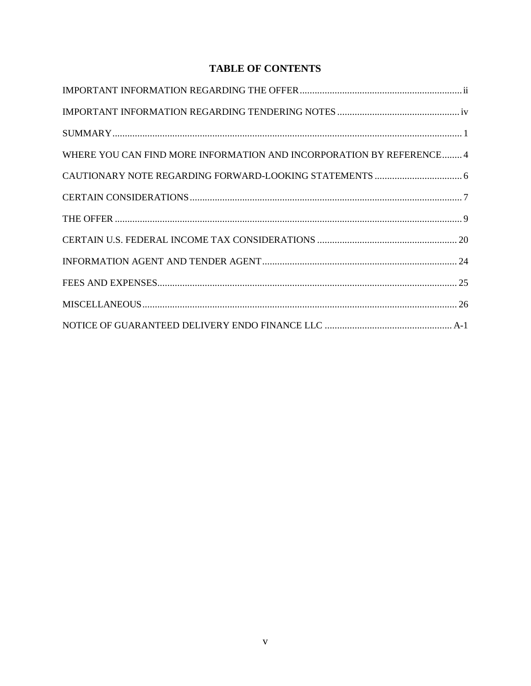# **TABLE OF CONTENTS**

| WHERE YOU CAN FIND MORE INFORMATION AND INCORPORATION BY REFERENCE 4 |
|----------------------------------------------------------------------|
|                                                                      |
|                                                                      |
|                                                                      |
|                                                                      |
|                                                                      |
|                                                                      |
|                                                                      |
|                                                                      |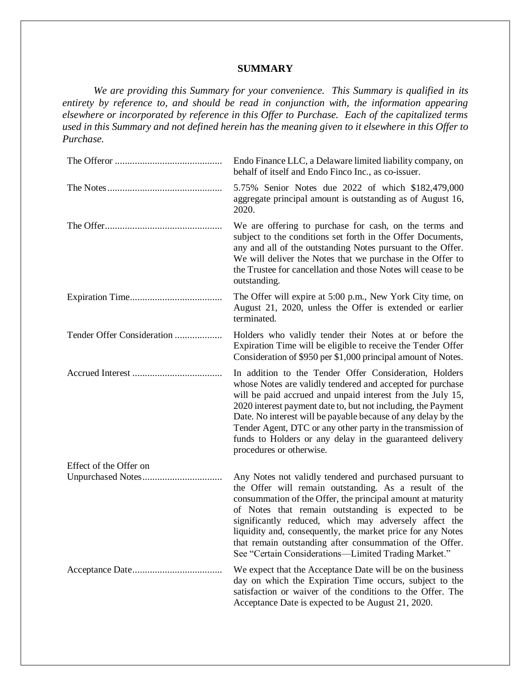# **SUMMARY**

<span id="page-5-0"></span>*We are providing this Summary for your convenience. This Summary is qualified in its entirety by reference to, and should be read in conjunction with, the information appearing elsewhere or incorporated by reference in this Offer to Purchase. Each of the capitalized terms used in this Summary and not defined herein has the meaning given to it elsewhere in this Offer to Purchase.*

|                            | Endo Finance LLC, a Delaware limited liability company, on<br>behalf of itself and Endo Finco Inc., as co-issuer.                                                                                                                                                                                                                                                                                                                                                                  |
|----------------------------|------------------------------------------------------------------------------------------------------------------------------------------------------------------------------------------------------------------------------------------------------------------------------------------------------------------------------------------------------------------------------------------------------------------------------------------------------------------------------------|
|                            | 5.75% Senior Notes due 2022 of which \$182,479,000<br>aggregate principal amount is outstanding as of August 16,<br>2020.                                                                                                                                                                                                                                                                                                                                                          |
|                            | We are offering to purchase for cash, on the terms and<br>subject to the conditions set forth in the Offer Documents,<br>any and all of the outstanding Notes pursuant to the Offer.<br>We will deliver the Notes that we purchase in the Offer to<br>the Trustee for cancellation and those Notes will cease to be<br>outstanding.                                                                                                                                                |
|                            | The Offer will expire at 5:00 p.m., New York City time, on<br>August 21, 2020, unless the Offer is extended or earlier<br>terminated.                                                                                                                                                                                                                                                                                                                                              |
| Tender Offer Consideration | Holders who validly tender their Notes at or before the<br>Expiration Time will be eligible to receive the Tender Offer<br>Consideration of \$950 per \$1,000 principal amount of Notes.                                                                                                                                                                                                                                                                                           |
|                            | In addition to the Tender Offer Consideration, Holders<br>whose Notes are validly tendered and accepted for purchase<br>will be paid accrued and unpaid interest from the July 15,<br>2020 interest payment date to, but not including, the Payment<br>Date. No interest will be payable because of any delay by the<br>Tender Agent, DTC or any other party in the transmission of<br>funds to Holders or any delay in the guaranteed delivery<br>procedures or otherwise.        |
| Effect of the Offer on     |                                                                                                                                                                                                                                                                                                                                                                                                                                                                                    |
|                            | Any Notes not validly tendered and purchased pursuant to<br>the Offer will remain outstanding. As a result of the<br>consummation of the Offer, the principal amount at maturity<br>of Notes that remain outstanding is expected to be<br>significantly reduced, which may adversely affect the<br>liquidity and, consequently, the market price for any Notes<br>that remain outstanding after consummation of the Offer.<br>See "Certain Considerations—Limited Trading Market." |
|                            | We expect that the Acceptance Date will be on the business<br>day on which the Expiration Time occurs, subject to the<br>satisfaction or waiver of the conditions to the Offer. The<br>Acceptance Date is expected to be August 21, 2020.                                                                                                                                                                                                                                          |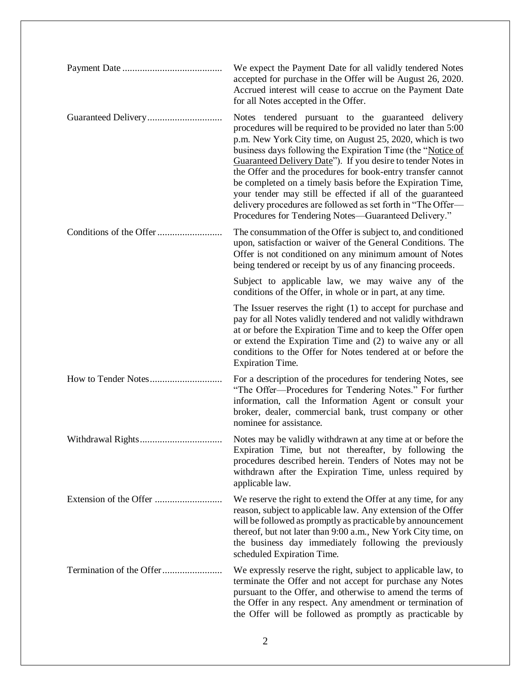| We expect the Payment Date for all validly tendered Notes<br>accepted for purchase in the Offer will be August 26, 2020.<br>Accrued interest will cease to accrue on the Payment Date<br>for all Notes accepted in the Offer.                                                                                                                                                                                                                                                                                                                                                                                                      |
|------------------------------------------------------------------------------------------------------------------------------------------------------------------------------------------------------------------------------------------------------------------------------------------------------------------------------------------------------------------------------------------------------------------------------------------------------------------------------------------------------------------------------------------------------------------------------------------------------------------------------------|
| Notes tendered pursuant to the guaranteed delivery<br>procedures will be required to be provided no later than 5:00<br>p.m. New York City time, on August 25, 2020, which is two<br>business days following the Expiration Time (the "Notice of<br>Guaranteed Delivery Date"). If you desire to tender Notes in<br>the Offer and the procedures for book-entry transfer cannot<br>be completed on a timely basis before the Expiration Time,<br>your tender may still be effected if all of the guaranteed<br>delivery procedures are followed as set forth in "The Offer-<br>Procedures for Tendering Notes—Guaranteed Delivery." |
| The consummation of the Offer is subject to, and conditioned<br>upon, satisfaction or waiver of the General Conditions. The<br>Offer is not conditioned on any minimum amount of Notes<br>being tendered or receipt by us of any financing proceeds.                                                                                                                                                                                                                                                                                                                                                                               |
| Subject to applicable law, we may waive any of the<br>conditions of the Offer, in whole or in part, at any time.                                                                                                                                                                                                                                                                                                                                                                                                                                                                                                                   |
| The Issuer reserves the right $(1)$ to accept for purchase and<br>pay for all Notes validly tendered and not validly withdrawn<br>at or before the Expiration Time and to keep the Offer open<br>or extend the Expiration Time and (2) to waive any or all<br>conditions to the Offer for Notes tendered at or before the<br><b>Expiration Time.</b>                                                                                                                                                                                                                                                                               |
| For a description of the procedures for tendering Notes, see<br>"The Offer-Procedures for Tendering Notes." For further<br>information, call the Information Agent or consult your<br>broker, dealer, commercial bank, trust company or other<br>nominee for assistance.                                                                                                                                                                                                                                                                                                                                                           |
| Notes may be validly withdrawn at any time at or before the<br>Expiration Time, but not thereafter, by following the<br>procedures described herein. Tenders of Notes may not be<br>withdrawn after the Expiration Time, unless required by<br>applicable law.                                                                                                                                                                                                                                                                                                                                                                     |
| We reserve the right to extend the Offer at any time, for any<br>reason, subject to applicable law. Any extension of the Offer<br>will be followed as promptly as practicable by announcement<br>thereof, but not later than 9:00 a.m., New York City time, on<br>the business day immediately following the previously<br>scheduled Expiration Time.                                                                                                                                                                                                                                                                              |
| We expressly reserve the right, subject to applicable law, to<br>terminate the Offer and not accept for purchase any Notes<br>pursuant to the Offer, and otherwise to amend the terms of<br>the Offer in any respect. Any amendment or termination of<br>the Offer will be followed as promptly as practicable by                                                                                                                                                                                                                                                                                                                  |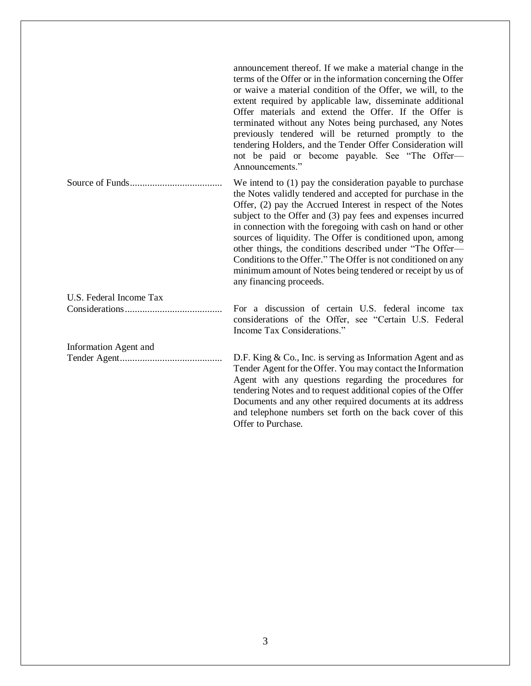|                         | announcement thereof. If we make a material change in the<br>terms of the Offer or in the information concerning the Offer<br>or waive a material condition of the Offer, we will, to the<br>extent required by applicable law, disseminate additional<br>Offer materials and extend the Offer. If the Offer is<br>terminated without any Notes being purchased, any Notes<br>previously tendered will be returned promptly to the<br>tendering Holders, and the Tender Offer Consideration will<br>not be paid or become payable. See "The Offer-<br>Announcements."                                        |
|-------------------------|--------------------------------------------------------------------------------------------------------------------------------------------------------------------------------------------------------------------------------------------------------------------------------------------------------------------------------------------------------------------------------------------------------------------------------------------------------------------------------------------------------------------------------------------------------------------------------------------------------------|
|                         | We intend to $(1)$ pay the consideration payable to purchase<br>the Notes validly tendered and accepted for purchase in the<br>Offer, (2) pay the Accrued Interest in respect of the Notes<br>subject to the Offer and (3) pay fees and expenses incurred<br>in connection with the foregoing with cash on hand or other<br>sources of liquidity. The Offer is conditioned upon, among<br>other things, the conditions described under "The Offer-<br>Conditions to the Offer." The Offer is not conditioned on any<br>minimum amount of Notes being tendered or receipt by us of<br>any financing proceeds. |
| U.S. Federal Income Tax |                                                                                                                                                                                                                                                                                                                                                                                                                                                                                                                                                                                                              |
|                         | For a discussion of certain U.S. federal income tax<br>considerations of the Offer, see "Certain U.S. Federal<br>Income Tax Considerations."                                                                                                                                                                                                                                                                                                                                                                                                                                                                 |
| Information Agent and   |                                                                                                                                                                                                                                                                                                                                                                                                                                                                                                                                                                                                              |
|                         | D.F. King $& Co.,$ Inc. is serving as Information Agent and as<br>Tender Agent for the Offer. You may contact the Information<br>Agent with any questions regarding the procedures for<br>tendering Notes and to request additional copies of the Offer<br>Documents and any other required documents at its address<br>and telephone numbers set forth on the back cover of this<br>Offer to Purchase.                                                                                                                                                                                                      |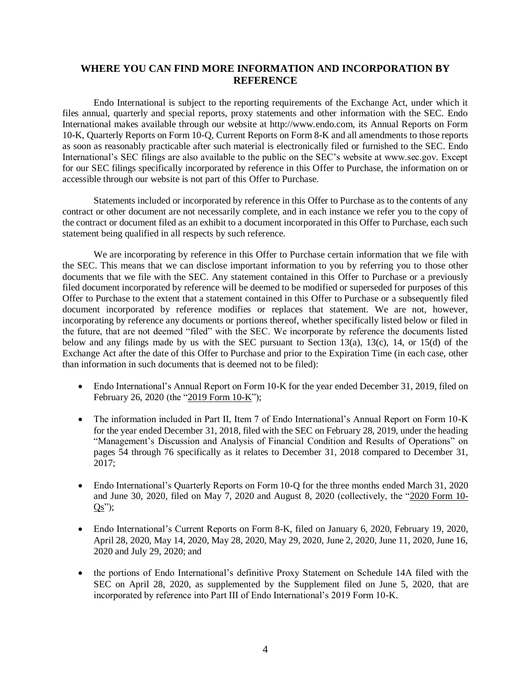# <span id="page-8-0"></span>**WHERE YOU CAN FIND MORE INFORMATION AND INCORPORATION BY REFERENCE**

Endo International is subject to the reporting requirements of the Exchange Act, under which it files annual, quarterly and special reports, proxy statements and other information with the SEC. Endo International makes available through our website at http://www.endo.com, its Annual Reports on Form 10-K, Quarterly Reports on Form 10-Q, Current Reports on Form 8-K and all amendments to those reports as soon as reasonably practicable after such material is electronically filed or furnished to the SEC. Endo International's SEC filings are also available to the public on the SEC's website at www.sec.gov. Except for our SEC filings specifically incorporated by reference in this Offer to Purchase, the information on or accessible through our website is not part of this Offer to Purchase.

Statements included or incorporated by reference in this Offer to Purchase as to the contents of any contract or other document are not necessarily complete, and in each instance we refer you to the copy of the contract or document filed as an exhibit to a document incorporated in this Offer to Purchase, each such statement being qualified in all respects by such reference.

We are incorporating by reference in this Offer to Purchase certain information that we file with the SEC. This means that we can disclose important information to you by referring you to those other documents that we file with the SEC. Any statement contained in this Offer to Purchase or a previously filed document incorporated by reference will be deemed to be modified or superseded for purposes of this Offer to Purchase to the extent that a statement contained in this Offer to Purchase or a subsequently filed document incorporated by reference modifies or replaces that statement. We are not, however, incorporating by reference any documents or portions thereof, whether specifically listed below or filed in the future, that are not deemed "filed" with the SEC. We incorporate by reference the documents listed below and any filings made by us with the SEC pursuant to Section 13(a), 13(c), 14, or 15(d) of the Exchange Act after the date of this Offer to Purchase and prior to the Expiration Time (in each case, other than information in such documents that is deemed not to be filed):

- Endo International's Annual Report on Form 10-K for the year ended December 31, 2019, filed on February 26, 2020 (the "2019 Form 10-K");
- The information included in Part II, Item 7 of Endo International's Annual Report on Form 10-K for the year ended December 31, 2018, filed with the SEC on February 28, 2019, under the heading "Management's Discussion and Analysis of Financial Condition and Results of Operations" on pages 54 through 76 specifically as it relates to December 31, 2018 compared to December 31, 2017;
- Endo International's Quarterly Reports on Form 10-Q for the three months ended March 31, 2020 and June 30, 2020, filed on May 7, 2020 and August 8, 2020 (collectively, the "2020 Form 10-  $Qs$ ");
- Endo International's Current Reports on Form 8-K, filed on January 6, 2020, February 19, 2020, April 28, 2020, May 14, 2020, May 28, 2020, May 29, 2020, June 2, 2020, June 11, 2020, June 16, 2020 and July 29, 2020; and
- the portions of Endo International's definitive Proxy Statement on Schedule 14A filed with the SEC on April 28, 2020, as supplemented by the Supplement filed on June 5, 2020, that are incorporated by reference into Part III of Endo International's 2019 Form 10-K.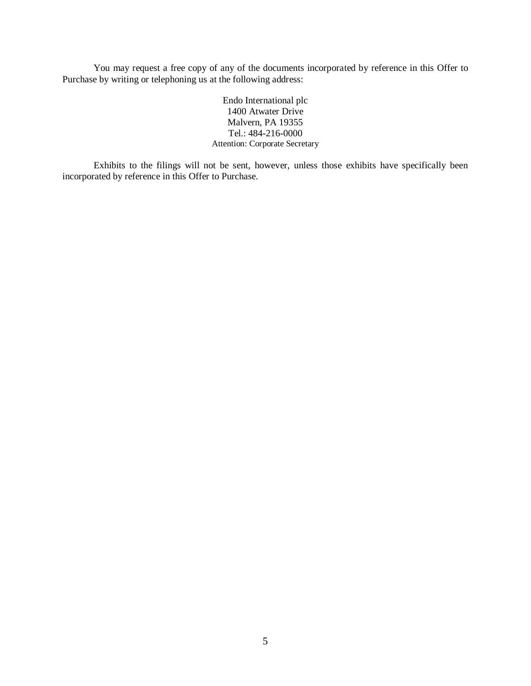You may request a free copy of any of the documents incorporated by reference in this Offer to Purchase by writing or telephoning us at the following address:

> Endo International plc 1400 Atwater Drive Malvern, PA 19355 Tel.: 484-216-0000 Attention: Corporate Secretary

Exhibits to the filings will not be sent, however, unless those exhibits have specifically been incorporated by reference in this Offer to Purchase.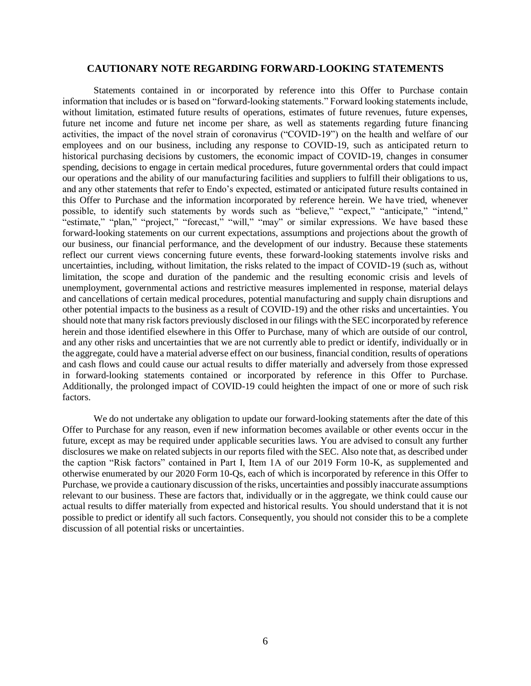## **CAUTIONARY NOTE REGARDING FORWARD-LOOKING STATEMENTS**

<span id="page-10-0"></span>Statements contained in or incorporated by reference into this Offer to Purchase contain information that includes or is based on "forward-looking statements." Forward looking statements include, without limitation, estimated future results of operations, estimates of future revenues, future expenses, future net income and future net income per share, as well as statements regarding future financing activities, the impact of the novel strain of coronavirus ("COVID-19") on the health and welfare of our employees and on our business, including any response to COVID-19, such as anticipated return to historical purchasing decisions by customers, the economic impact of COVID-19, changes in consumer spending, decisions to engage in certain medical procedures, future governmental orders that could impact our operations and the ability of our manufacturing facilities and suppliers to fulfill their obligations to us, and any other statements that refer to Endo's expected, estimated or anticipated future results contained in this Offer to Purchase and the information incorporated by reference herein. We have tried, whenever possible, to identify such statements by words such as "believe," "expect," "anticipate," "intend," "estimate," "plan," "project," "forecast," "will," "may" or similar expressions. We have based these forward-looking statements on our current expectations, assumptions and projections about the growth of our business, our financial performance, and the development of our industry. Because these statements reflect our current views concerning future events, these forward-looking statements involve risks and uncertainties, including, without limitation, the risks related to the impact of COVID-19 (such as, without limitation, the scope and duration of the pandemic and the resulting economic crisis and levels of unemployment, governmental actions and restrictive measures implemented in response, material delays and cancellations of certain medical procedures, potential manufacturing and supply chain disruptions and other potential impacts to the business as a result of COVID-19) and the other risks and uncertainties. You should note that many risk factors previously disclosed in our filings with the SEC incorporated by reference herein and those identified elsewhere in this Offer to Purchase, many of which are outside of our control, and any other risks and uncertainties that we are not currently able to predict or identify, individually or in the aggregate, could have a material adverse effect on our business, financial condition, results of operations and cash flows and could cause our actual results to differ materially and adversely from those expressed in forward-looking statements contained or incorporated by reference in this Offer to Purchase. Additionally, the prolonged impact of COVID-19 could heighten the impact of one or more of such risk factors.

We do not undertake any obligation to update our forward-looking statements after the date of this Offer to Purchase for any reason, even if new information becomes available or other events occur in the future, except as may be required under applicable securities laws. You are advised to consult any further disclosures we make on related subjects in our reports filed with the SEC. Also note that, as described under the caption "Risk factors" contained in Part I, Item 1A of our 2019 Form 10-K, as supplemented and otherwise enumerated by our 2020 Form 10-Qs, each of which is incorporated by reference in this Offer to Purchase, we provide a cautionary discussion of the risks, uncertainties and possibly inaccurate assumptions relevant to our business. These are factors that, individually or in the aggregate, we think could cause our actual results to differ materially from expected and historical results. You should understand that it is not possible to predict or identify all such factors. Consequently, you should not consider this to be a complete discussion of all potential risks or uncertainties.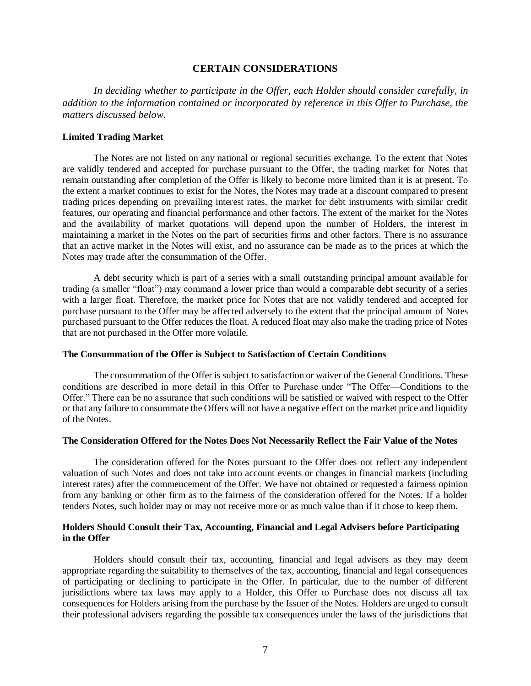## **CERTAIN CONSIDERATIONS**

<span id="page-11-0"></span>*In deciding whether to participate in the Offer, each Holder should consider carefully, in addition to the information contained or incorporated by reference in this Offer to Purchase, the matters discussed below.*

## **Limited Trading Market**

The Notes are not listed on any national or regional securities exchange. To the extent that Notes are validly tendered and accepted for purchase pursuant to the Offer, the trading market for Notes that remain outstanding after completion of the Offer is likely to become more limited than it is at present. To the extent a market continues to exist for the Notes, the Notes may trade at a discount compared to present trading prices depending on prevailing interest rates, the market for debt instruments with similar credit features, our operating and financial performance and other factors. The extent of the market for the Notes and the availability of market quotations will depend upon the number of Holders, the interest in maintaining a market in the Notes on the part of securities firms and other factors. There is no assurance that an active market in the Notes will exist, and no assurance can be made as to the prices at which the Notes may trade after the consummation of the Offer.

A debt security which is part of a series with a small outstanding principal amount available for trading (a smaller "float") may command a lower price than would a comparable debt security of a series with a larger float. Therefore, the market price for Notes that are not validly tendered and accepted for purchase pursuant to the Offer may be affected adversely to the extent that the principal amount of Notes purchased pursuant to the Offer reduces the float. A reduced float may also make the trading price of Notes that are not purchased in the Offer more volatile.

#### **The Consummation of the Offer is Subject to Satisfaction of Certain Conditions**

The consummation of the Offer is subject to satisfaction or waiver of the General Conditions. These conditions are described in more detail in this Offer to Purchase under "The Offer—Conditions to the Offer." There can be no assurance that such conditions will be satisfied or waived with respect to the Offer or that any failure to consummate the Offers will not have a negative effect on the market price and liquidity of the Notes.

#### **The Consideration Offered for the Notes Does Not Necessarily Reflect the Fair Value of the Notes**

The consideration offered for the Notes pursuant to the Offer does not reflect any independent valuation of such Notes and does not take into account events or changes in financial markets (including interest rates) after the commencement of the Offer. We have not obtained or requested a fairness opinion from any banking or other firm as to the fairness of the consideration offered for the Notes. If a holder tenders Notes, such holder may or may not receive more or as much value than if it chose to keep them.

#### **Holders Should Consult their Tax, Accounting, Financial and Legal Advisers before Participating in the Offer**

Holders should consult their tax, accounting, financial and legal advisers as they may deem appropriate regarding the suitability to themselves of the tax, accounting, financial and legal consequences of participating or declining to participate in the Offer. In particular, due to the number of different jurisdictions where tax laws may apply to a Holder, this Offer to Purchase does not discuss all tax consequences for Holders arising from the purchase by the Issuer of the Notes. Holders are urged to consult their professional advisers regarding the possible tax consequences under the laws of the jurisdictions that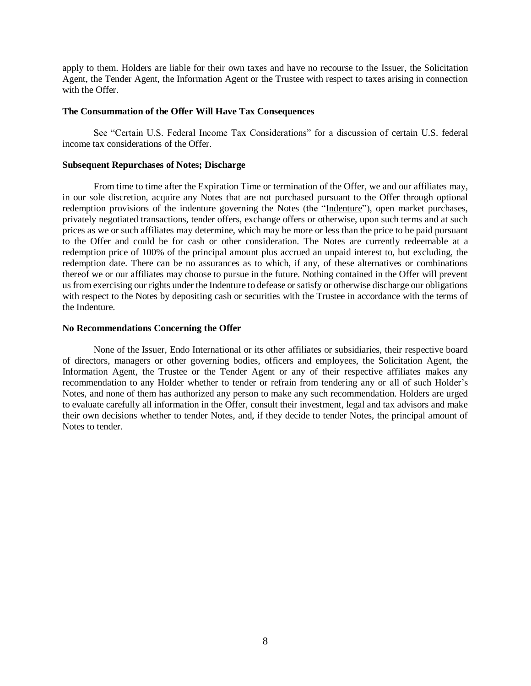apply to them. Holders are liable for their own taxes and have no recourse to the Issuer, the Solicitation Agent, the Tender Agent, the Information Agent or the Trustee with respect to taxes arising in connection with the Offer

#### **The Consummation of the Offer Will Have Tax Consequences**

See "Certain U.S. Federal Income Tax Considerations" for a discussion of certain U.S. federal income tax considerations of the Offer.

#### **Subsequent Repurchases of Notes; Discharge**

From time to time after the Expiration Time or termination of the Offer, we and our affiliates may, in our sole discretion, acquire any Notes that are not purchased pursuant to the Offer through optional redemption provisions of the indenture governing the Notes (the "Indenture"), open market purchases, privately negotiated transactions, tender offers, exchange offers or otherwise, upon such terms and at such prices as we or such affiliates may determine, which may be more or less than the price to be paid pursuant to the Offer and could be for cash or other consideration. The Notes are currently redeemable at a redemption price of 100% of the principal amount plus accrued an unpaid interest to, but excluding, the redemption date. There can be no assurances as to which, if any, of these alternatives or combinations thereof we or our affiliates may choose to pursue in the future. Nothing contained in the Offer will prevent us from exercising our rights under the Indenture to defease or satisfy or otherwise discharge our obligations with respect to the Notes by depositing cash or securities with the Trustee in accordance with the terms of the Indenture.

#### **No Recommendations Concerning the Offer**

None of the Issuer, Endo International or its other affiliates or subsidiaries, their respective board of directors, managers or other governing bodies, officers and employees, the Solicitation Agent, the Information Agent, the Trustee or the Tender Agent or any of their respective affiliates makes any recommendation to any Holder whether to tender or refrain from tendering any or all of such Holder's Notes, and none of them has authorized any person to make any such recommendation. Holders are urged to evaluate carefully all information in the Offer, consult their investment, legal and tax advisors and make their own decisions whether to tender Notes, and, if they decide to tender Notes, the principal amount of Notes to tender.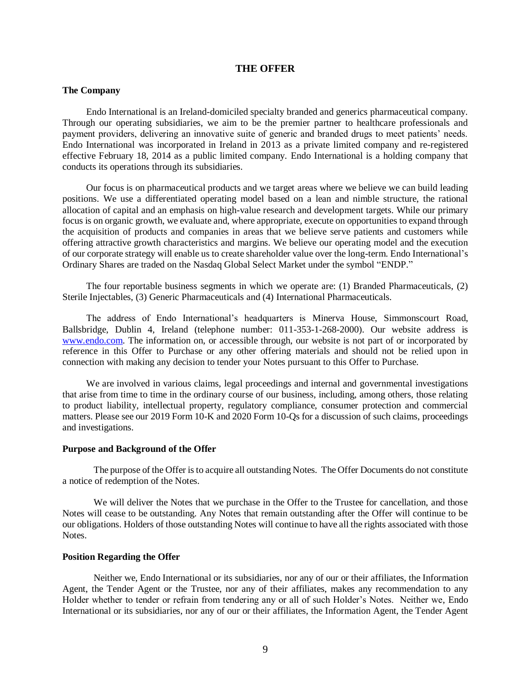#### **THE OFFER**

#### <span id="page-13-0"></span>**The Company**

Endo International is an Ireland-domiciled specialty branded and generics pharmaceutical company. Through our operating subsidiaries, we aim to be the premier partner to healthcare professionals and payment providers, delivering an innovative suite of generic and branded drugs to meet patients' needs. Endo International was incorporated in Ireland in 2013 as a private limited company and re-registered effective February 18, 2014 as a public limited company. Endo International is a holding company that conducts its operations through its subsidiaries.

Our focus is on pharmaceutical products and we target areas where we believe we can build leading positions. We use a differentiated operating model based on a lean and nimble structure, the rational allocation of capital and an emphasis on high-value research and development targets. While our primary focus is on organic growth, we evaluate and, where appropriate, execute on opportunities to expand through the acquisition of products and companies in areas that we believe serve patients and customers while offering attractive growth characteristics and margins. We believe our operating model and the execution of our corporate strategy will enable us to create shareholder value over the long-term. Endo International's Ordinary Shares are traded on the Nasdaq Global Select Market under the symbol "ENDP."

The four reportable business segments in which we operate are: (1) Branded Pharmaceuticals, (2) Sterile Injectables, (3) Generic Pharmaceuticals and (4) International Pharmaceuticals.

The address of Endo International's headquarters is Minerva House, Simmonscourt Road, Ballsbridge, Dublin 4, Ireland (telephone number: 011-353-1-268-2000). Our website address is [www.endo.com.](http://www.endo.com/) The information on, or accessible through, our website is not part of or incorporated by reference in this Offer to Purchase or any other offering materials and should not be relied upon in connection with making any decision to tender your Notes pursuant to this Offer to Purchase.

We are involved in various claims, legal proceedings and internal and governmental investigations that arise from time to time in the ordinary course of our business, including, among others, those relating to product liability, intellectual property, regulatory compliance, consumer protection and commercial matters. Please see our 2019 Form 10-K and 2020 Form 10-Qs for a discussion of such claims, proceedings and investigations.

#### **Purpose and Background of the Offer**

The purpose of the Offer is to acquire all outstanding Notes. The Offer Documents do not constitute a notice of redemption of the Notes.

We will deliver the Notes that we purchase in the Offer to the Trustee for cancellation, and those Notes will cease to be outstanding. Any Notes that remain outstanding after the Offer will continue to be our obligations. Holders of those outstanding Notes will continue to have all the rights associated with those Notes.

## **Position Regarding the Offer**

Neither we, Endo International or its subsidiaries, nor any of our or their affiliates, the Information Agent, the Tender Agent or the Trustee, nor any of their affiliates, makes any recommendation to any Holder whether to tender or refrain from tendering any or all of such Holder's Notes. Neither we, Endo International or its subsidiaries, nor any of our or their affiliates, the Information Agent, the Tender Agent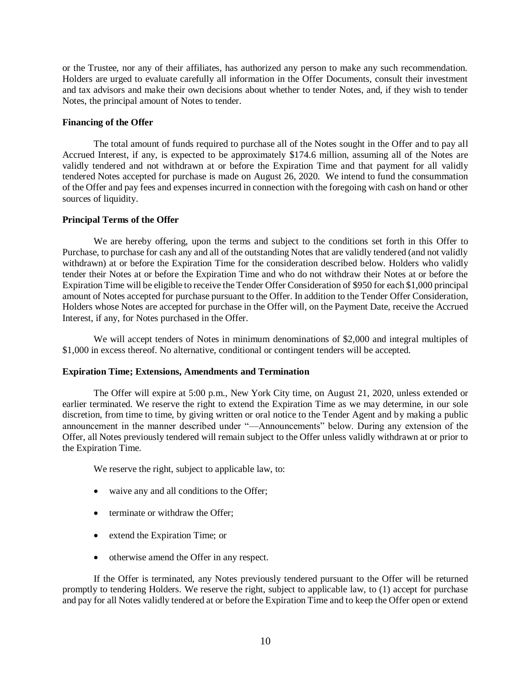or the Trustee, nor any of their affiliates, has authorized any person to make any such recommendation. Holders are urged to evaluate carefully all information in the Offer Documents, consult their investment and tax advisors and make their own decisions about whether to tender Notes, and, if they wish to tender Notes, the principal amount of Notes to tender.

## **Financing of the Offer**

The total amount of funds required to purchase all of the Notes sought in the Offer and to pay all Accrued Interest, if any, is expected to be approximately \$174.6 million, assuming all of the Notes are validly tendered and not withdrawn at or before the Expiration Time and that payment for all validly tendered Notes accepted for purchase is made on August 26, 2020. We intend to fund the consummation of the Offer and pay fees and expenses incurred in connection with the foregoing with cash on hand or other sources of liquidity.

## **Principal Terms of the Offer**

We are hereby offering, upon the terms and subject to the conditions set forth in this Offer to Purchase, to purchase for cash any and all of the outstanding Notes that are validly tendered (and not validly withdrawn) at or before the Expiration Time for the consideration described below. Holders who validly tender their Notes at or before the Expiration Time and who do not withdraw their Notes at or before the Expiration Time will be eligible to receive the Tender Offer Consideration of \$950 for each \$1,000 principal amount of Notes accepted for purchase pursuant to the Offer. In addition to the Tender Offer Consideration, Holders whose Notes are accepted for purchase in the Offer will, on the Payment Date, receive the Accrued Interest, if any, for Notes purchased in the Offer.

We will accept tenders of Notes in minimum denominations of \$2,000 and integral multiples of \$1,000 in excess thereof. No alternative, conditional or contingent tenders will be accepted.

#### **Expiration Time; Extensions, Amendments and Termination**

The Offer will expire at 5:00 p.m., New York City time, on August 21, 2020, unless extended or earlier terminated. We reserve the right to extend the Expiration Time as we may determine, in our sole discretion, from time to time, by giving written or oral notice to the Tender Agent and by making a public announcement in the manner described under "—Announcements" below. During any extension of the Offer, all Notes previously tendered will remain subject to the Offer unless validly withdrawn at or prior to the Expiration Time.

We reserve the right, subject to applicable law, to:

- waive any and all conditions to the Offer;
- terminate or withdraw the Offer;
- extend the Expiration Time; or
- otherwise amend the Offer in any respect.

If the Offer is terminated, any Notes previously tendered pursuant to the Offer will be returned promptly to tendering Holders. We reserve the right, subject to applicable law, to (1) accept for purchase and pay for all Notes validly tendered at or before the Expiration Time and to keep the Offer open or extend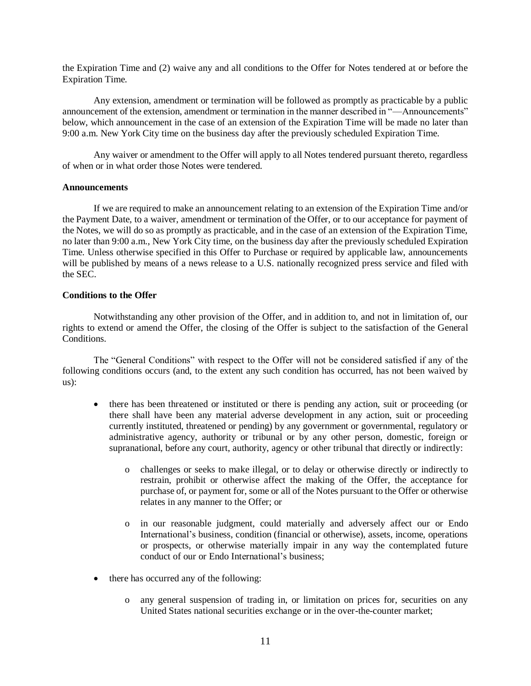the Expiration Time and (2) waive any and all conditions to the Offer for Notes tendered at or before the Expiration Time.

Any extension, amendment or termination will be followed as promptly as practicable by a public announcement of the extension, amendment or termination in the manner described in "—Announcements" below, which announcement in the case of an extension of the Expiration Time will be made no later than 9:00 a.m. New York City time on the business day after the previously scheduled Expiration Time.

Any waiver or amendment to the Offer will apply to all Notes tendered pursuant thereto, regardless of when or in what order those Notes were tendered.

#### **Announcements**

If we are required to make an announcement relating to an extension of the Expiration Time and/or the Payment Date, to a waiver, amendment or termination of the Offer, or to our acceptance for payment of the Notes, we will do so as promptly as practicable, and in the case of an extension of the Expiration Time, no later than 9:00 a.m., New York City time, on the business day after the previously scheduled Expiration Time. Unless otherwise specified in this Offer to Purchase or required by applicable law, announcements will be published by means of a news release to a U.S. nationally recognized press service and filed with the SEC.

#### **Conditions to the Offer**

Notwithstanding any other provision of the Offer, and in addition to, and not in limitation of, our rights to extend or amend the Offer, the closing of the Offer is subject to the satisfaction of the General Conditions.

The "General Conditions" with respect to the Offer will not be considered satisfied if any of the following conditions occurs (and, to the extent any such condition has occurred, has not been waived by us):

- there has been threatened or instituted or there is pending any action, suit or proceeding (or there shall have been any material adverse development in any action, suit or proceeding currently instituted, threatened or pending) by any government or governmental, regulatory or administrative agency, authority or tribunal or by any other person, domestic, foreign or supranational, before any court, authority, agency or other tribunal that directly or indirectly:
	- o challenges or seeks to make illegal, or to delay or otherwise directly or indirectly to restrain, prohibit or otherwise affect the making of the Offer, the acceptance for purchase of, or payment for, some or all of the Notes pursuant to the Offer or otherwise relates in any manner to the Offer; or
	- o in our reasonable judgment, could materially and adversely affect our or Endo International's business, condition (financial or otherwise), assets, income, operations or prospects, or otherwise materially impair in any way the contemplated future conduct of our or Endo International's business;
- there has occurred any of the following:
	- o any general suspension of trading in, or limitation on prices for, securities on any United States national securities exchange or in the over-the-counter market;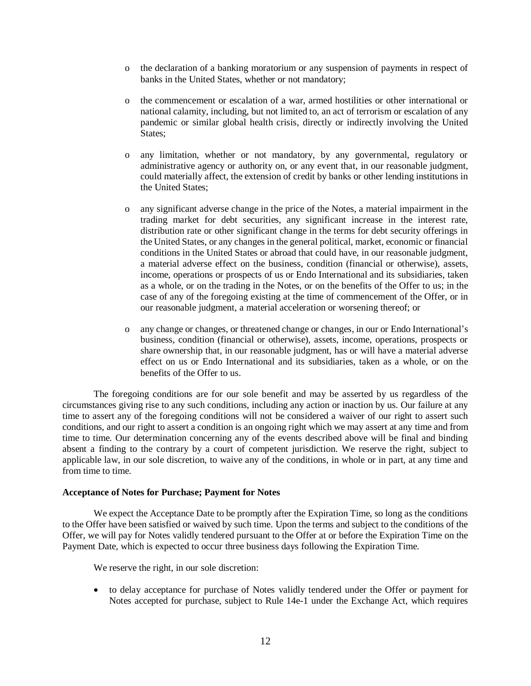- o the declaration of a banking moratorium or any suspension of payments in respect of banks in the United States, whether or not mandatory;
- o the commencement or escalation of a war, armed hostilities or other international or national calamity, including, but not limited to, an act of terrorism or escalation of any pandemic or similar global health crisis, directly or indirectly involving the United States:
- o any limitation, whether or not mandatory, by any governmental, regulatory or administrative agency or authority on, or any event that, in our reasonable judgment, could materially affect, the extension of credit by banks or other lending institutions in the United States;
- o any significant adverse change in the price of the Notes, a material impairment in the trading market for debt securities, any significant increase in the interest rate, distribution rate or other significant change in the terms for debt security offerings in the United States, or any changes in the general political, market, economic or financial conditions in the United States or abroad that could have, in our reasonable judgment, a material adverse effect on the business, condition (financial or otherwise), assets, income, operations or prospects of us or Endo International and its subsidiaries, taken as a whole, or on the trading in the Notes, or on the benefits of the Offer to us; in the case of any of the foregoing existing at the time of commencement of the Offer, or in our reasonable judgment, a material acceleration or worsening thereof; or
- o any change or changes, or threatened change or changes, in our or Endo International's business, condition (financial or otherwise), assets, income, operations, prospects or share ownership that, in our reasonable judgment, has or will have a material adverse effect on us or Endo International and its subsidiaries, taken as a whole, or on the benefits of the Offer to us.

The foregoing conditions are for our sole benefit and may be asserted by us regardless of the circumstances giving rise to any such conditions, including any action or inaction by us. Our failure at any time to assert any of the foregoing conditions will not be considered a waiver of our right to assert such conditions, and our right to assert a condition is an ongoing right which we may assert at any time and from time to time. Our determination concerning any of the events described above will be final and binding absent a finding to the contrary by a court of competent jurisdiction. We reserve the right, subject to applicable law, in our sole discretion, to waive any of the conditions, in whole or in part, at any time and from time to time.

#### **Acceptance of Notes for Purchase; Payment for Notes**

We expect the Acceptance Date to be promptly after the Expiration Time, so long as the conditions to the Offer have been satisfied or waived by such time. Upon the terms and subject to the conditions of the Offer, we will pay for Notes validly tendered pursuant to the Offer at or before the Expiration Time on the Payment Date, which is expected to occur three business days following the Expiration Time.

We reserve the right, in our sole discretion:

• to delay acceptance for purchase of Notes validly tendered under the Offer or payment for Notes accepted for purchase, subject to Rule 14e-1 under the Exchange Act, which requires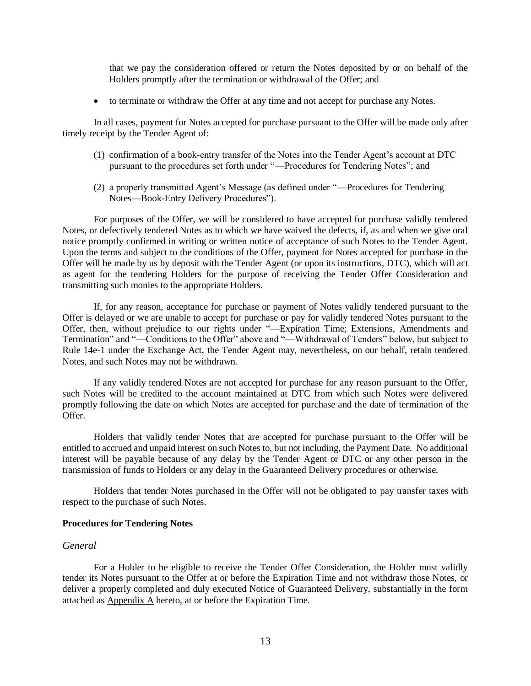that we pay the consideration offered or return the Notes deposited by or on behalf of the Holders promptly after the termination or withdrawal of the Offer; and

• to terminate or withdraw the Offer at any time and not accept for purchase any Notes.

In all cases, payment for Notes accepted for purchase pursuant to the Offer will be made only after timely receipt by the Tender Agent of:

- (1) confirmation of a book-entry transfer of the Notes into the Tender Agent's account at DTC pursuant to the procedures set forth under "—Procedures for Tendering Notes"; and
- (2) a properly transmitted Agent's Message (as defined under "—Procedures for Tendering Notes—Book-Entry Delivery Procedures").

For purposes of the Offer, we will be considered to have accepted for purchase validly tendered Notes, or defectively tendered Notes as to which we have waived the defects, if, as and when we give oral notice promptly confirmed in writing or written notice of acceptance of such Notes to the Tender Agent. Upon the terms and subject to the conditions of the Offer, payment for Notes accepted for purchase in the Offer will be made by us by deposit with the Tender Agent (or upon its instructions, DTC), which will act as agent for the tendering Holders for the purpose of receiving the Tender Offer Consideration and transmitting such monies to the appropriate Holders.

If, for any reason, acceptance for purchase or payment of Notes validly tendered pursuant to the Offer is delayed or we are unable to accept for purchase or pay for validly tendered Notes pursuant to the Offer, then, without prejudice to our rights under "—Expiration Time; Extensions, Amendments and Termination" and "—Conditions to the Offer" above and "—Withdrawal of Tenders" below, but subject to Rule 14e-1 under the Exchange Act, the Tender Agent may, nevertheless, on our behalf, retain tendered Notes, and such Notes may not be withdrawn.

If any validly tendered Notes are not accepted for purchase for any reason pursuant to the Offer, such Notes will be credited to the account maintained at DTC from which such Notes were delivered promptly following the date on which Notes are accepted for purchase and the date of termination of the Offer.

Holders that validly tender Notes that are accepted for purchase pursuant to the Offer will be entitled to accrued and unpaid interest on such Notes to, but not including, the Payment Date. No additional interest will be payable because of any delay by the Tender Agent or DTC or any other person in the transmission of funds to Holders or any delay in the Guaranteed Delivery procedures or otherwise.

Holders that tender Notes purchased in the Offer will not be obligated to pay transfer taxes with respect to the purchase of such Notes.

#### **Procedures for Tendering Notes**

#### *General*

For a Holder to be eligible to receive the Tender Offer Consideration, the Holder must validly tender its Notes pursuant to the Offer at or before the Expiration Time and not withdraw those Notes, or deliver a properly completed and duly executed Notice of Guaranteed Delivery, substantially in the form attached as Appendix A hereto, at or before the Expiration Time.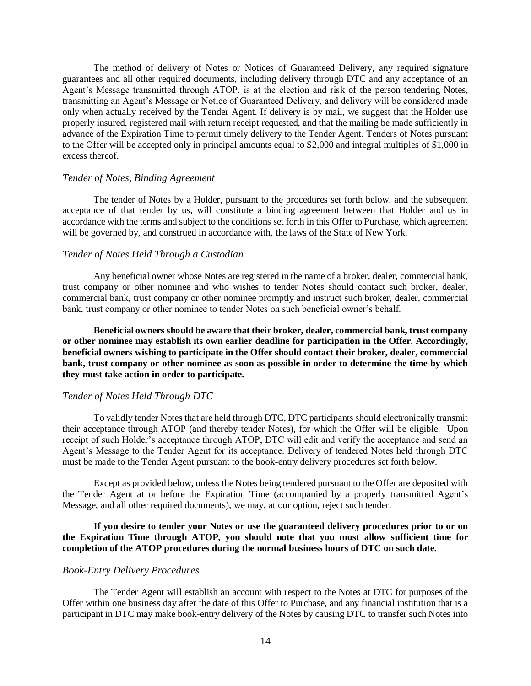The method of delivery of Notes or Notices of Guaranteed Delivery, any required signature guarantees and all other required documents, including delivery through DTC and any acceptance of an Agent's Message transmitted through ATOP, is at the election and risk of the person tendering Notes, transmitting an Agent's Message or Notice of Guaranteed Delivery, and delivery will be considered made only when actually received by the Tender Agent. If delivery is by mail, we suggest that the Holder use properly insured, registered mail with return receipt requested, and that the mailing be made sufficiently in advance of the Expiration Time to permit timely delivery to the Tender Agent. Tenders of Notes pursuant to the Offer will be accepted only in principal amounts equal to \$2,000 and integral multiples of \$1,000 in excess thereof.

#### *Tender of Notes, Binding Agreement*

The tender of Notes by a Holder, pursuant to the procedures set forth below, and the subsequent acceptance of that tender by us, will constitute a binding agreement between that Holder and us in accordance with the terms and subject to the conditions set forth in this Offer to Purchase, which agreement will be governed by, and construed in accordance with, the laws of the State of New York.

## *Tender of Notes Held Through a Custodian*

Any beneficial owner whose Notes are registered in the name of a broker, dealer, commercial bank, trust company or other nominee and who wishes to tender Notes should contact such broker, dealer, commercial bank, trust company or other nominee promptly and instruct such broker, dealer, commercial bank, trust company or other nominee to tender Notes on such beneficial owner's behalf.

**Beneficial owners should be aware that their broker, dealer, commercial bank, trust company or other nominee may establish its own earlier deadline for participation in the Offer. Accordingly, beneficial owners wishing to participate in the Offer should contact their broker, dealer, commercial bank, trust company or other nominee as soon as possible in order to determine the time by which they must take action in order to participate.**

#### *Tender of Notes Held Through DTC*

To validly tender Notes that are held through DTC, DTC participants should electronically transmit their acceptance through ATOP (and thereby tender Notes), for which the Offer will be eligible. Upon receipt of such Holder's acceptance through ATOP, DTC will edit and verify the acceptance and send an Agent's Message to the Tender Agent for its acceptance. Delivery of tendered Notes held through DTC must be made to the Tender Agent pursuant to the book-entry delivery procedures set forth below.

Except as provided below, unless the Notes being tendered pursuant to the Offer are deposited with the Tender Agent at or before the Expiration Time (accompanied by a properly transmitted Agent's Message, and all other required documents), we may, at our option, reject such tender.

**If you desire to tender your Notes or use the guaranteed delivery procedures prior to or on the Expiration Time through ATOP, you should note that you must allow sufficient time for completion of the ATOP procedures during the normal business hours of DTC on such date.**

#### *Book-Entry Delivery Procedures*

The Tender Agent will establish an account with respect to the Notes at DTC for purposes of the Offer within one business day after the date of this Offer to Purchase, and any financial institution that is a participant in DTC may make book-entry delivery of the Notes by causing DTC to transfer such Notes into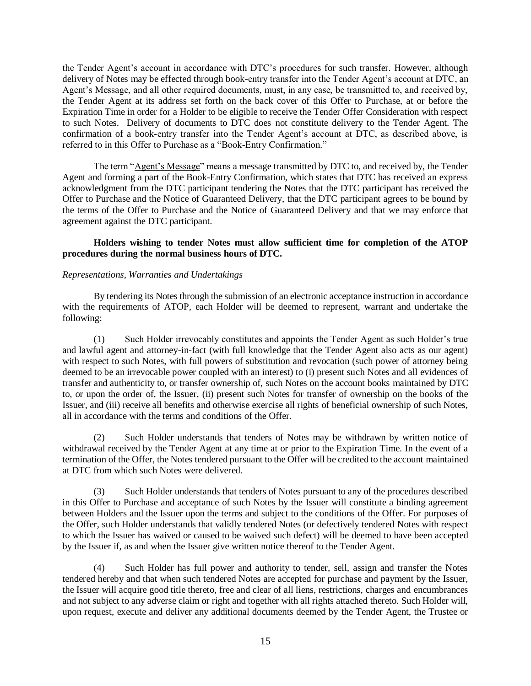the Tender Agent's account in accordance with DTC's procedures for such transfer. However, although delivery of Notes may be effected through book-entry transfer into the Tender Agent's account at DTC, an Agent's Message, and all other required documents, must, in any case, be transmitted to, and received by, the Tender Agent at its address set forth on the back cover of this Offer to Purchase, at or before the Expiration Time in order for a Holder to be eligible to receive the Tender Offer Consideration with respect to such Notes. Delivery of documents to DTC does not constitute delivery to the Tender Agent. The confirmation of a book-entry transfer into the Tender Agent's account at DTC, as described above, is referred to in this Offer to Purchase as a "Book-Entry Confirmation."

The term "Agent's Message" means a message transmitted by DTC to, and received by, the Tender Agent and forming a part of the Book-Entry Confirmation, which states that DTC has received an express acknowledgment from the DTC participant tendering the Notes that the DTC participant has received the Offer to Purchase and the Notice of Guaranteed Delivery, that the DTC participant agrees to be bound by the terms of the Offer to Purchase and the Notice of Guaranteed Delivery and that we may enforce that agreement against the DTC participant.

## **Holders wishing to tender Notes must allow sufficient time for completion of the ATOP procedures during the normal business hours of DTC.**

## *Representations, Warranties and Undertakings*

By tendering its Notes through the submission of an electronic acceptance instruction in accordance with the requirements of ATOP, each Holder will be deemed to represent, warrant and undertake the following:

(1) Such Holder irrevocably constitutes and appoints the Tender Agent as such Holder's true and lawful agent and attorney-in-fact (with full knowledge that the Tender Agent also acts as our agent) with respect to such Notes, with full powers of substitution and revocation (such power of attorney being deemed to be an irrevocable power coupled with an interest) to (i) present such Notes and all evidences of transfer and authenticity to, or transfer ownership of, such Notes on the account books maintained by DTC to, or upon the order of, the Issuer, (ii) present such Notes for transfer of ownership on the books of the Issuer, and (iii) receive all benefits and otherwise exercise all rights of beneficial ownership of such Notes, all in accordance with the terms and conditions of the Offer.

(2) Such Holder understands that tenders of Notes may be withdrawn by written notice of withdrawal received by the Tender Agent at any time at or prior to the Expiration Time. In the event of a termination of the Offer, the Notes tendered pursuant to the Offer will be credited to the account maintained at DTC from which such Notes were delivered.

(3) Such Holder understands that tenders of Notes pursuant to any of the procedures described in this Offer to Purchase and acceptance of such Notes by the Issuer will constitute a binding agreement between Holders and the Issuer upon the terms and subject to the conditions of the Offer. For purposes of the Offer, such Holder understands that validly tendered Notes (or defectively tendered Notes with respect to which the Issuer has waived or caused to be waived such defect) will be deemed to have been accepted by the Issuer if, as and when the Issuer give written notice thereof to the Tender Agent.

(4) Such Holder has full power and authority to tender, sell, assign and transfer the Notes tendered hereby and that when such tendered Notes are accepted for purchase and payment by the Issuer, the Issuer will acquire good title thereto, free and clear of all liens, restrictions, charges and encumbrances and not subject to any adverse claim or right and together with all rights attached thereto. Such Holder will, upon request, execute and deliver any additional documents deemed by the Tender Agent, the Trustee or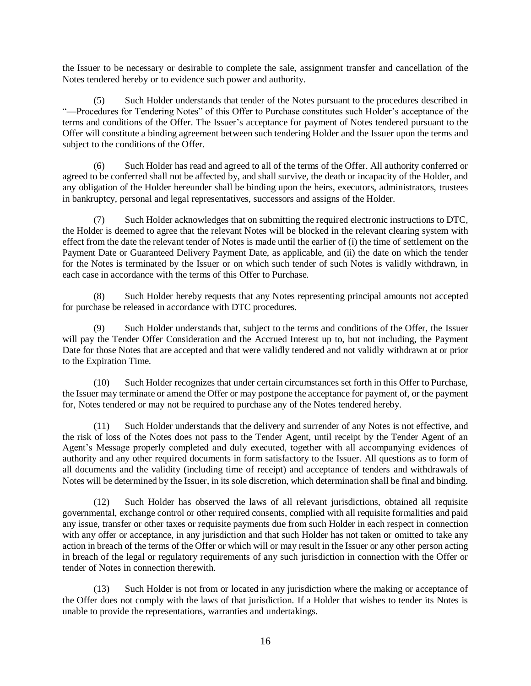the Issuer to be necessary or desirable to complete the sale, assignment transfer and cancellation of the Notes tendered hereby or to evidence such power and authority.

(5) Such Holder understands that tender of the Notes pursuant to the procedures described in "—Procedures for Tendering Notes" of this Offer to Purchase constitutes such Holder's acceptance of the terms and conditions of the Offer. The Issuer's acceptance for payment of Notes tendered pursuant to the Offer will constitute a binding agreement between such tendering Holder and the Issuer upon the terms and subject to the conditions of the Offer.

(6) Such Holder has read and agreed to all of the terms of the Offer. All authority conferred or agreed to be conferred shall not be affected by, and shall survive, the death or incapacity of the Holder, and any obligation of the Holder hereunder shall be binding upon the heirs, executors, administrators, trustees in bankruptcy, personal and legal representatives, successors and assigns of the Holder.

(7) Such Holder acknowledges that on submitting the required electronic instructions to DTC, the Holder is deemed to agree that the relevant Notes will be blocked in the relevant clearing system with effect from the date the relevant tender of Notes is made until the earlier of (i) the time of settlement on the Payment Date or Guaranteed Delivery Payment Date, as applicable, and (ii) the date on which the tender for the Notes is terminated by the Issuer or on which such tender of such Notes is validly withdrawn, in each case in accordance with the terms of this Offer to Purchase.

(8) Such Holder hereby requests that any Notes representing principal amounts not accepted for purchase be released in accordance with DTC procedures.

(9) Such Holder understands that, subject to the terms and conditions of the Offer, the Issuer will pay the Tender Offer Consideration and the Accrued Interest up to, but not including, the Payment Date for those Notes that are accepted and that were validly tendered and not validly withdrawn at or prior to the Expiration Time.

(10) Such Holder recognizes that under certain circumstances set forth in this Offer to Purchase, the Issuer may terminate or amend the Offer or may postpone the acceptance for payment of, or the payment for, Notes tendered or may not be required to purchase any of the Notes tendered hereby.

(11) Such Holder understands that the delivery and surrender of any Notes is not effective, and the risk of loss of the Notes does not pass to the Tender Agent, until receipt by the Tender Agent of an Agent's Message properly completed and duly executed, together with all accompanying evidences of authority and any other required documents in form satisfactory to the Issuer. All questions as to form of all documents and the validity (including time of receipt) and acceptance of tenders and withdrawals of Notes will be determined by the Issuer, in its sole discretion, which determination shall be final and binding.

(12) Such Holder has observed the laws of all relevant jurisdictions, obtained all requisite governmental, exchange control or other required consents, complied with all requisite formalities and paid any issue, transfer or other taxes or requisite payments due from such Holder in each respect in connection with any offer or acceptance, in any jurisdiction and that such Holder has not taken or omitted to take any action in breach of the terms of the Offer or which will or may result in the Issuer or any other person acting in breach of the legal or regulatory requirements of any such jurisdiction in connection with the Offer or tender of Notes in connection therewith.

(13) Such Holder is not from or located in any jurisdiction where the making or acceptance of the Offer does not comply with the laws of that jurisdiction. If a Holder that wishes to tender its Notes is unable to provide the representations, warranties and undertakings.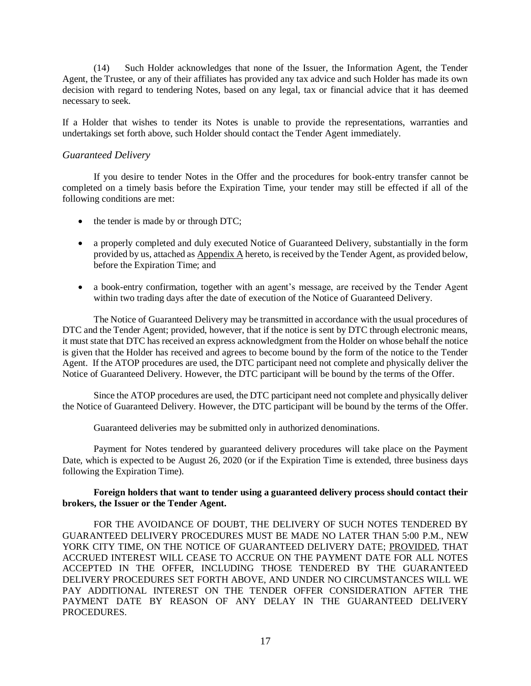(14) Such Holder acknowledges that none of the Issuer, the Information Agent, the Tender Agent, the Trustee, or any of their affiliates has provided any tax advice and such Holder has made its own decision with regard to tendering Notes, based on any legal, tax or financial advice that it has deemed necessary to seek.

If a Holder that wishes to tender its Notes is unable to provide the representations, warranties and undertakings set forth above, such Holder should contact the Tender Agent immediately.

# *Guaranteed Delivery*

If you desire to tender Notes in the Offer and the procedures for book-entry transfer cannot be completed on a timely basis before the Expiration Time, your tender may still be effected if all of the following conditions are met:

- the tender is made by or through DTC;
- a properly completed and duly executed Notice of Guaranteed Delivery, substantially in the form provided by us, attached as Appendix A hereto, is received by the Tender Agent, as provided below, before the Expiration Time; and
- a book-entry confirmation, together with an agent's message, are received by the Tender Agent within two trading days after the date of execution of the Notice of Guaranteed Delivery.

The Notice of Guaranteed Delivery may be transmitted in accordance with the usual procedures of DTC and the Tender Agent; provided, however, that if the notice is sent by DTC through electronic means, it must state that DTC has received an express acknowledgment from the Holder on whose behalf the notice is given that the Holder has received and agrees to become bound by the form of the notice to the Tender Agent. If the ATOP procedures are used, the DTC participant need not complete and physically deliver the Notice of Guaranteed Delivery. However, the DTC participant will be bound by the terms of the Offer.

Since the ATOP procedures are used, the DTC participant need not complete and physically deliver the Notice of Guaranteed Delivery. However, the DTC participant will be bound by the terms of the Offer.

Guaranteed deliveries may be submitted only in authorized denominations.

Payment for Notes tendered by guaranteed delivery procedures will take place on the Payment Date, which is expected to be August 26, 2020 (or if the Expiration Time is extended, three business days following the Expiration Time).

## **Foreign holders that want to tender using a guaranteed delivery process should contact their brokers, the Issuer or the Tender Agent.**

FOR THE AVOIDANCE OF DOUBT, THE DELIVERY OF SUCH NOTES TENDERED BY GUARANTEED DELIVERY PROCEDURES MUST BE MADE NO LATER THAN 5:00 P.M., NEW YORK CITY TIME, ON THE NOTICE OF GUARANTEED DELIVERY DATE; PROVIDED, THAT ACCRUED INTEREST WILL CEASE TO ACCRUE ON THE PAYMENT DATE FOR ALL NOTES ACCEPTED IN THE OFFER, INCLUDING THOSE TENDERED BY THE GUARANTEED DELIVERY PROCEDURES SET FORTH ABOVE, AND UNDER NO CIRCUMSTANCES WILL WE PAY ADDITIONAL INTEREST ON THE TENDER OFFER CONSIDERATION AFTER THE PAYMENT DATE BY REASON OF ANY DELAY IN THE GUARANTEED DELIVERY PROCEDURES.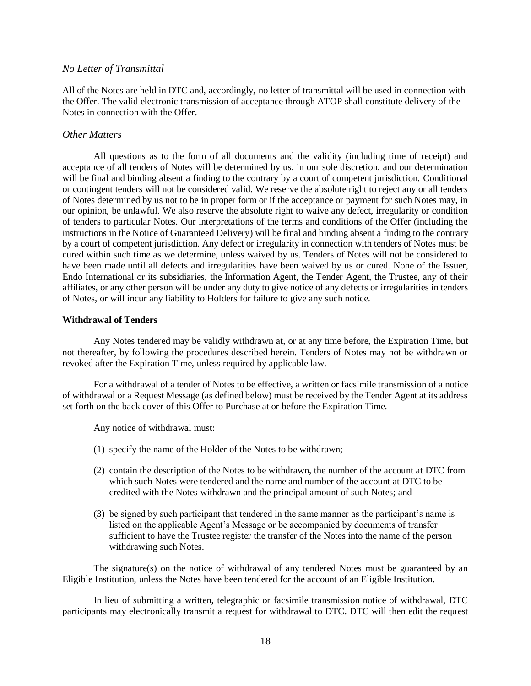## *No Letter of Transmittal*

All of the Notes are held in DTC and, accordingly, no letter of transmittal will be used in connection with the Offer. The valid electronic transmission of acceptance through ATOP shall constitute delivery of the Notes in connection with the Offer.

#### *Other Matters*

All questions as to the form of all documents and the validity (including time of receipt) and acceptance of all tenders of Notes will be determined by us, in our sole discretion, and our determination will be final and binding absent a finding to the contrary by a court of competent jurisdiction. Conditional or contingent tenders will not be considered valid. We reserve the absolute right to reject any or all tenders of Notes determined by us not to be in proper form or if the acceptance or payment for such Notes may, in our opinion, be unlawful. We also reserve the absolute right to waive any defect, irregularity or condition of tenders to particular Notes. Our interpretations of the terms and conditions of the Offer (including the instructions in the Notice of Guaranteed Delivery) will be final and binding absent a finding to the contrary by a court of competent jurisdiction. Any defect or irregularity in connection with tenders of Notes must be cured within such time as we determine, unless waived by us. Tenders of Notes will not be considered to have been made until all defects and irregularities have been waived by us or cured. None of the Issuer, Endo International or its subsidiaries, the Information Agent, the Tender Agent, the Trustee, any of their affiliates, or any other person will be under any duty to give notice of any defects or irregularities in tenders of Notes, or will incur any liability to Holders for failure to give any such notice.

#### **Withdrawal of Tenders**

Any Notes tendered may be validly withdrawn at, or at any time before, the Expiration Time, but not thereafter, by following the procedures described herein. Tenders of Notes may not be withdrawn or revoked after the Expiration Time, unless required by applicable law.

For a withdrawal of a tender of Notes to be effective, a written or facsimile transmission of a notice of withdrawal or a Request Message (as defined below) must be received by the Tender Agent at its address set forth on the back cover of this Offer to Purchase at or before the Expiration Time.

Any notice of withdrawal must:

- (1) specify the name of the Holder of the Notes to be withdrawn;
- (2) contain the description of the Notes to be withdrawn, the number of the account at DTC from which such Notes were tendered and the name and number of the account at DTC to be credited with the Notes withdrawn and the principal amount of such Notes; and
- (3) be signed by such participant that tendered in the same manner as the participant's name is listed on the applicable Agent's Message or be accompanied by documents of transfer sufficient to have the Trustee register the transfer of the Notes into the name of the person withdrawing such Notes.

The signature(s) on the notice of withdrawal of any tendered Notes must be guaranteed by an Eligible Institution, unless the Notes have been tendered for the account of an Eligible Institution.

In lieu of submitting a written, telegraphic or facsimile transmission notice of withdrawal, DTC participants may electronically transmit a request for withdrawal to DTC. DTC will then edit the request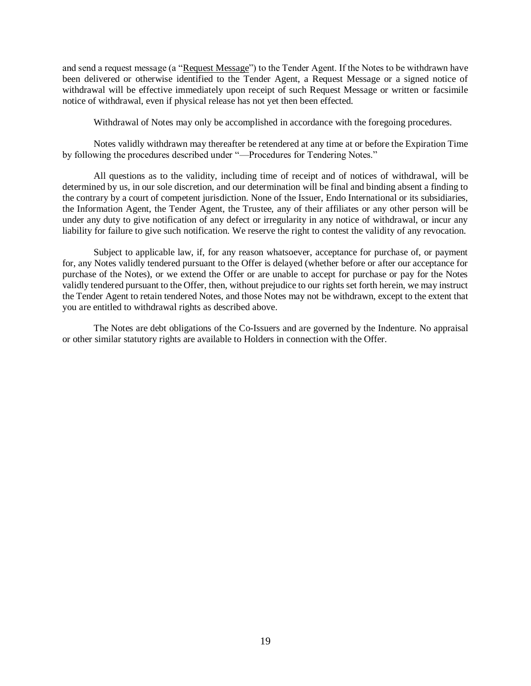and send a request message (a "Request Message") to the Tender Agent. If the Notes to be withdrawn have been delivered or otherwise identified to the Tender Agent, a Request Message or a signed notice of withdrawal will be effective immediately upon receipt of such Request Message or written or facsimile notice of withdrawal, even if physical release has not yet then been effected.

Withdrawal of Notes may only be accomplished in accordance with the foregoing procedures.

Notes validly withdrawn may thereafter be retendered at any time at or before the Expiration Time by following the procedures described under "—Procedures for Tendering Notes."

All questions as to the validity, including time of receipt and of notices of withdrawal, will be determined by us, in our sole discretion, and our determination will be final and binding absent a finding to the contrary by a court of competent jurisdiction. None of the Issuer, Endo International or its subsidiaries, the Information Agent, the Tender Agent, the Trustee, any of their affiliates or any other person will be under any duty to give notification of any defect or irregularity in any notice of withdrawal, or incur any liability for failure to give such notification. We reserve the right to contest the validity of any revocation.

Subject to applicable law, if, for any reason whatsoever, acceptance for purchase of, or payment for, any Notes validly tendered pursuant to the Offer is delayed (whether before or after our acceptance for purchase of the Notes), or we extend the Offer or are unable to accept for purchase or pay for the Notes validly tendered pursuant to the Offer, then, without prejudice to our rights set forth herein, we may instruct the Tender Agent to retain tendered Notes, and those Notes may not be withdrawn, except to the extent that you are entitled to withdrawal rights as described above.

The Notes are debt obligations of the Co-Issuers and are governed by the Indenture. No appraisal or other similar statutory rights are available to Holders in connection with the Offer.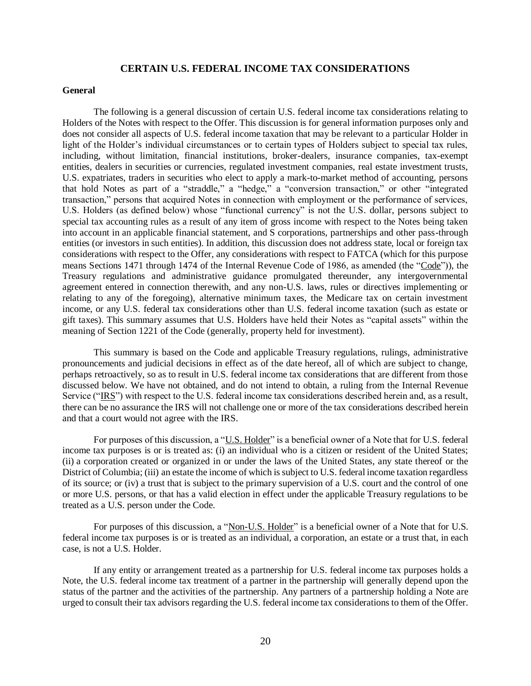## **CERTAIN U.S. FEDERAL INCOME TAX CONSIDERATIONS**

#### <span id="page-24-0"></span>**General**

The following is a general discussion of certain U.S. federal income tax considerations relating to Holders of the Notes with respect to the Offer. This discussion is for general information purposes only and does not consider all aspects of U.S. federal income taxation that may be relevant to a particular Holder in light of the Holder's individual circumstances or to certain types of Holders subject to special tax rules, including, without limitation, financial institutions, broker-dealers, insurance companies, tax-exempt entities, dealers in securities or currencies, regulated investment companies, real estate investment trusts, U.S. expatriates, traders in securities who elect to apply a mark-to-market method of accounting, persons that hold Notes as part of a "straddle," a "hedge," a "conversion transaction," or other "integrated transaction," persons that acquired Notes in connection with employment or the performance of services, U.S. Holders (as defined below) whose "functional currency" is not the U.S. dollar, persons subject to special tax accounting rules as a result of any item of gross income with respect to the Notes being taken into account in an applicable financial statement, and S corporations, partnerships and other pass-through entities (or investors in such entities). In addition, this discussion does not address state, local or foreign tax considerations with respect to the Offer, any considerations with respect to FATCA (which for this purpose means Sections 1471 through 1474 of the Internal Revenue Code of 1986, as amended (the "Code")), the Treasury regulations and administrative guidance promulgated thereunder, any intergovernmental agreement entered in connection therewith, and any non-U.S. laws, rules or directives implementing or relating to any of the foregoing), alternative minimum taxes, the Medicare tax on certain investment income, or any U.S. federal tax considerations other than U.S. federal income taxation (such as estate or gift taxes). This summary assumes that U.S. Holders have held their Notes as "capital assets" within the meaning of Section 1221 of the Code (generally, property held for investment).

This summary is based on the Code and applicable Treasury regulations, rulings, administrative pronouncements and judicial decisions in effect as of the date hereof, all of which are subject to change, perhaps retroactively, so as to result in U.S. federal income tax considerations that are different from those discussed below. We have not obtained, and do not intend to obtain, a ruling from the Internal Revenue Service ("IRS") with respect to the U.S. federal income tax considerations described herein and, as a result, there can be no assurance the IRS will not challenge one or more of the tax considerations described herein and that a court would not agree with the IRS.

For purposes of this discussion, a "U.S. Holder" is a beneficial owner of a Note that for U.S. federal income tax purposes is or is treated as: (i) an individual who is a citizen or resident of the United States; (ii) a corporation created or organized in or under the laws of the United States, any state thereof or the District of Columbia; (iii) an estate the income of which is subject to U.S. federal income taxation regardless of its source; or (iv) a trust that is subject to the primary supervision of a U.S. court and the control of one or more U.S. persons, or that has a valid election in effect under the applicable Treasury regulations to be treated as a U.S. person under the Code.

For purposes of this discussion, a "Non-U.S. Holder" is a beneficial owner of a Note that for U.S. federal income tax purposes is or is treated as an individual, a corporation, an estate or a trust that, in each case, is not a U.S. Holder.

If any entity or arrangement treated as a partnership for U.S. federal income tax purposes holds a Note, the U.S. federal income tax treatment of a partner in the partnership will generally depend upon the status of the partner and the activities of the partnership. Any partners of a partnership holding a Note are urged to consult their tax advisors regarding the U.S. federal income tax considerations to them of the Offer.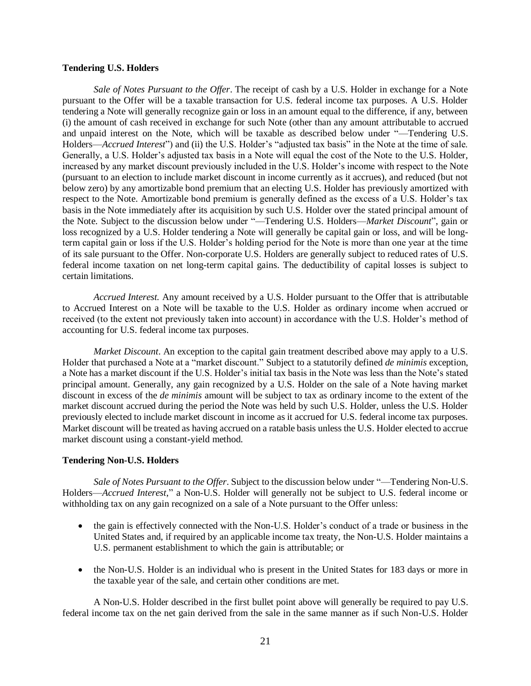#### **Tendering U.S. Holders**

*Sale of Notes Pursuant to the Offer*. The receipt of cash by a U.S. Holder in exchange for a Note pursuant to the Offer will be a taxable transaction for U.S. federal income tax purposes. A U.S. Holder tendering a Note will generally recognize gain or loss in an amount equal to the difference, if any, between (i) the amount of cash received in exchange for such Note (other than any amount attributable to accrued and unpaid interest on the Note, which will be taxable as described below under "—Tendering U.S. Holders—*Accrued Interest*") and (ii) the U.S. Holder's "adjusted tax basis" in the Note at the time of sale. Generally, a U.S. Holder's adjusted tax basis in a Note will equal the cost of the Note to the U.S. Holder, increased by any market discount previously included in the U.S. Holder's income with respect to the Note (pursuant to an election to include market discount in income currently as it accrues), and reduced (but not below zero) by any amortizable bond premium that an electing U.S. Holder has previously amortized with respect to the Note. Amortizable bond premium is generally defined as the excess of a U.S. Holder's tax basis in the Note immediately after its acquisition by such U.S. Holder over the stated principal amount of the Note. Subject to the discussion below under "—Tendering U.S. Holders—*Market Discount*", gain or loss recognized by a U.S. Holder tendering a Note will generally be capital gain or loss, and will be longterm capital gain or loss if the U.S. Holder's holding period for the Note is more than one year at the time of its sale pursuant to the Offer. Non-corporate U.S. Holders are generally subject to reduced rates of U.S. federal income taxation on net long-term capital gains. The deductibility of capital losses is subject to certain limitations.

*Accrued Interest.* Any amount received by a U.S. Holder pursuant to the Offer that is attributable to Accrued Interest on a Note will be taxable to the U.S. Holder as ordinary income when accrued or received (to the extent not previously taken into account) in accordance with the U.S. Holder's method of accounting for U.S. federal income tax purposes.

*Market Discount*. An exception to the capital gain treatment described above may apply to a U.S. Holder that purchased a Note at a "market discount." Subject to a statutorily defined *de minimis* exception, a Note has a market discount if the U.S. Holder's initial tax basis in the Note was less than the Note's stated principal amount. Generally, any gain recognized by a U.S. Holder on the sale of a Note having market discount in excess of the *de minimis* amount will be subject to tax as ordinary income to the extent of the market discount accrued during the period the Note was held by such U.S. Holder, unless the U.S. Holder previously elected to include market discount in income as it accrued for U.S. federal income tax purposes. Market discount will be treated as having accrued on a ratable basis unless the U.S. Holder elected to accrue market discount using a constant-yield method.

#### **Tendering Non-U.S. Holders**

*Sale of Notes Pursuant to the Offer*. Subject to the discussion below under "—Tendering Non-U.S. Holders—*Accrued Interest*," a Non-U.S. Holder will generally not be subject to U.S. federal income or withholding tax on any gain recognized on a sale of a Note pursuant to the Offer unless:

- the gain is effectively connected with the Non-U.S. Holder's conduct of a trade or business in the United States and, if required by an applicable income tax treaty, the Non-U.S. Holder maintains a U.S. permanent establishment to which the gain is attributable; or
- the Non-U.S. Holder is an individual who is present in the United States for 183 days or more in the taxable year of the sale, and certain other conditions are met.

A Non-U.S. Holder described in the first bullet point above will generally be required to pay U.S. federal income tax on the net gain derived from the sale in the same manner as if such Non-U.S. Holder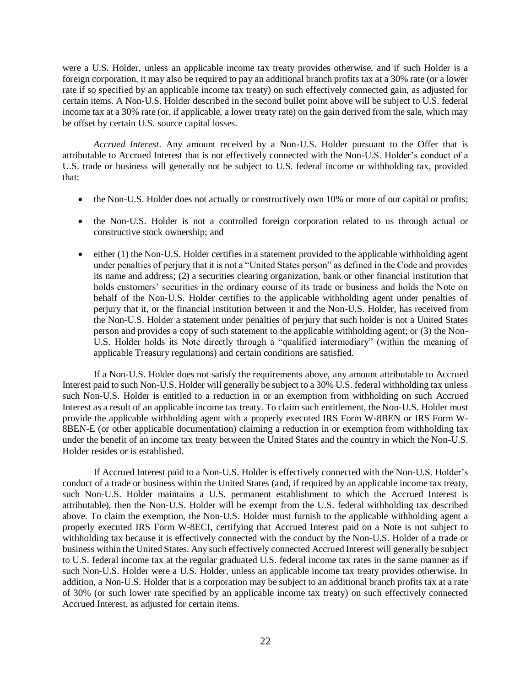were a U.S. Holder, unless an applicable income tax treaty provides otherwise, and if such Holder is a foreign corporation, it may also be required to pay an additional branch profits tax at a 30% rate (or a lower rate if so specified by an applicable income tax treaty) on such effectively connected gain, as adjusted for certain items. A Non-U.S. Holder described in the second bullet point above will be subject to U.S. federal income tax at a 30% rate (or, if applicable, a lower treaty rate) on the gain derived from the sale, which may be offset by certain U.S. source capital losses.

*Accrued Interest*. Any amount received by a Non-U.S. Holder pursuant to the Offer that is attributable to Accrued Interest that is not effectively connected with the Non-U.S. Holder's conduct of a U.S. trade or business will generally not be subject to U.S. federal income or withholding tax, provided that:

- the Non-U.S. Holder does not actually or constructively own 10% or more of our capital or profits;
- the Non-U.S. Holder is not a controlled foreign corporation related to us through actual or constructive stock ownership; and
- either (1) the Non-U.S. Holder certifies in a statement provided to the applicable withholding agent under penalties of perjury that it is not a "United States person" as defined in the Code and provides its name and address; (2) a securities clearing organization, bank or other financial institution that holds customers' securities in the ordinary course of its trade or business and holds the Note on behalf of the Non-U.S. Holder certifies to the applicable withholding agent under penalties of perjury that it, or the financial institution between it and the Non-U.S. Holder, has received from the Non-U.S. Holder a statement under penalties of perjury that such holder is not a United States person and provides a copy of such statement to the applicable withholding agent; or (3) the Non-U.S. Holder holds its Note directly through a "qualified intermediary" (within the meaning of applicable Treasury regulations) and certain conditions are satisfied.

If a Non-U.S. Holder does not satisfy the requirements above, any amount attributable to Accrued Interest paid to such Non-U.S. Holder will generally be subject to a 30% U.S. federal withholding tax unless such Non-U.S. Holder is entitled to a reduction in or an exemption from withholding on such Accrued Interest as a result of an applicable income tax treaty. To claim such entitlement, the Non-U.S. Holder must provide the applicable withholding agent with a properly executed IRS Form W-8BEN or IRS Form W-8BEN-E (or other applicable documentation) claiming a reduction in or exemption from withholding tax under the benefit of an income tax treaty between the United States and the country in which the Non-U.S. Holder resides or is established.

If Accrued Interest paid to a Non-U.S. Holder is effectively connected with the Non-U.S. Holder's conduct of a trade or business within the United States (and, if required by an applicable income tax treaty, such Non-U.S. Holder maintains a U.S. permanent establishment to which the Accrued Interest is attributable), then the Non-U.S. Holder will be exempt from the U.S. federal withholding tax described above. To claim the exemption, the Non-U.S. Holder must furnish to the applicable withholding agent a properly executed IRS Form W-8ECI, certifying that Accrued Interest paid on a Note is not subject to withholding tax because it is effectively connected with the conduct by the Non-U.S. Holder of a trade or business within the United States. Any such effectively connected Accrued Interest will generally be subject to U.S. federal income tax at the regular graduated U.S. federal income tax rates in the same manner as if such Non-U.S. Holder were a U.S. Holder, unless an applicable income tax treaty provides otherwise. In addition, a Non-U.S. Holder that is a corporation may be subject to an additional branch profits tax at a rate of 30% (or such lower rate specified by an applicable income tax treaty) on such effectively connected Accrued Interest, as adjusted for certain items.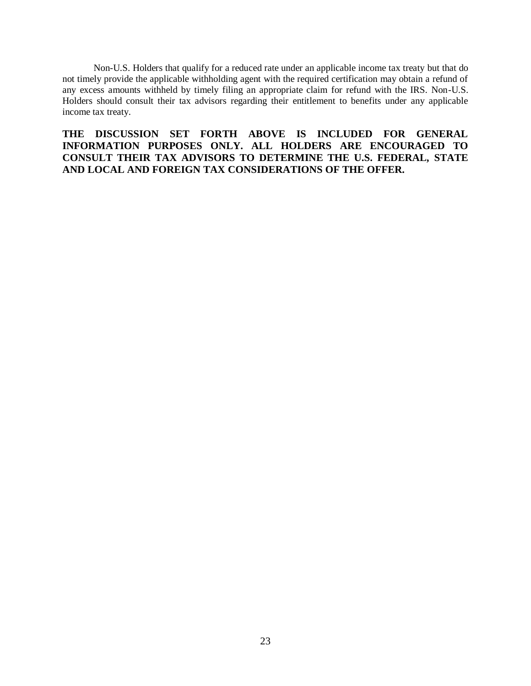Non-U.S. Holders that qualify for a reduced rate under an applicable income tax treaty but that do not timely provide the applicable withholding agent with the required certification may obtain a refund of any excess amounts withheld by timely filing an appropriate claim for refund with the IRS. Non-U.S. Holders should consult their tax advisors regarding their entitlement to benefits under any applicable income tax treaty.

**THE DISCUSSION SET FORTH ABOVE IS INCLUDED FOR GENERAL INFORMATION PURPOSES ONLY. ALL HOLDERS ARE ENCOURAGED TO CONSULT THEIR TAX ADVISORS TO DETERMINE THE U.S. FEDERAL, STATE AND LOCAL AND FOREIGN TAX CONSIDERATIONS OF THE OFFER.**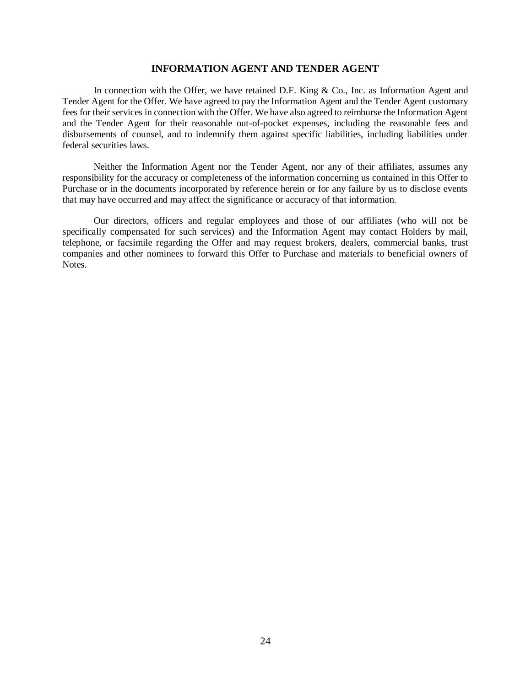## **INFORMATION AGENT AND TENDER AGENT**

<span id="page-28-0"></span>In connection with the Offer, we have retained D.F. King  $& Co.,$  Inc. as Information Agent and Tender Agent for the Offer. We have agreed to pay the Information Agent and the Tender Agent customary fees for their services in connection with the Offer. We have also agreed to reimburse the Information Agent and the Tender Agent for their reasonable out-of-pocket expenses, including the reasonable fees and disbursements of counsel, and to indemnify them against specific liabilities, including liabilities under federal securities laws.

Neither the Information Agent nor the Tender Agent, nor any of their affiliates, assumes any responsibility for the accuracy or completeness of the information concerning us contained in this Offer to Purchase or in the documents incorporated by reference herein or for any failure by us to disclose events that may have occurred and may affect the significance or accuracy of that information.

Our directors, officers and regular employees and those of our affiliates (who will not be specifically compensated for such services) and the Information Agent may contact Holders by mail, telephone, or facsimile regarding the Offer and may request brokers, dealers, commercial banks, trust companies and other nominees to forward this Offer to Purchase and materials to beneficial owners of Notes.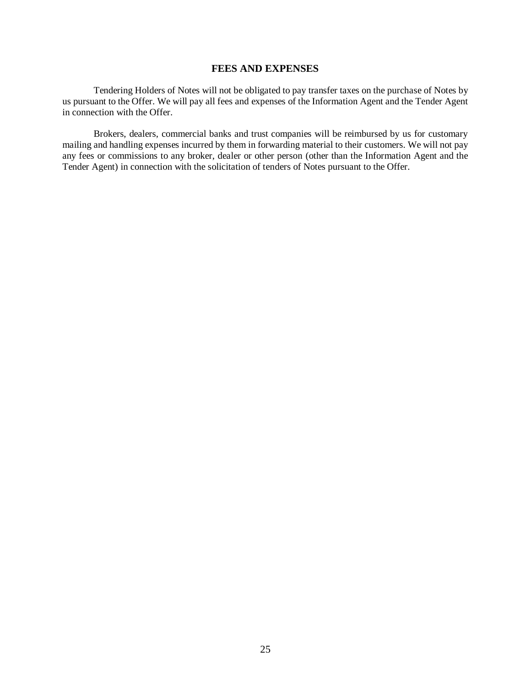## **FEES AND EXPENSES**

<span id="page-29-0"></span>Tendering Holders of Notes will not be obligated to pay transfer taxes on the purchase of Notes by us pursuant to the Offer. We will pay all fees and expenses of the Information Agent and the Tender Agent in connection with the Offer.

Brokers, dealers, commercial banks and trust companies will be reimbursed by us for customary mailing and handling expenses incurred by them in forwarding material to their customers. We will not pay any fees or commissions to any broker, dealer or other person (other than the Information Agent and the Tender Agent) in connection with the solicitation of tenders of Notes pursuant to the Offer.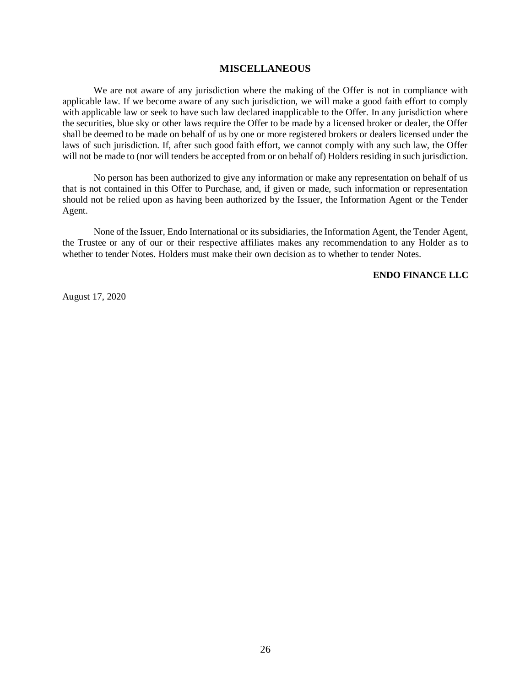#### **MISCELLANEOUS**

<span id="page-30-0"></span>We are not aware of any jurisdiction where the making of the Offer is not in compliance with applicable law. If we become aware of any such jurisdiction, we will make a good faith effort to comply with applicable law or seek to have such law declared inapplicable to the Offer. In any jurisdiction where the securities, blue sky or other laws require the Offer to be made by a licensed broker or dealer, the Offer shall be deemed to be made on behalf of us by one or more registered brokers or dealers licensed under the laws of such jurisdiction. If, after such good faith effort, we cannot comply with any such law, the Offer will not be made to (nor will tenders be accepted from or on behalf of) Holders residing in such jurisdiction.

No person has been authorized to give any information or make any representation on behalf of us that is not contained in this Offer to Purchase, and, if given or made, such information or representation should not be relied upon as having been authorized by the Issuer, the Information Agent or the Tender Agent.

None of the Issuer, Endo International or its subsidiaries, the Information Agent, the Tender Agent, the Trustee or any of our or their respective affiliates makes any recommendation to any Holder as to whether to tender Notes. Holders must make their own decision as to whether to tender Notes.

**ENDO FINANCE LLC**

August 17, 2020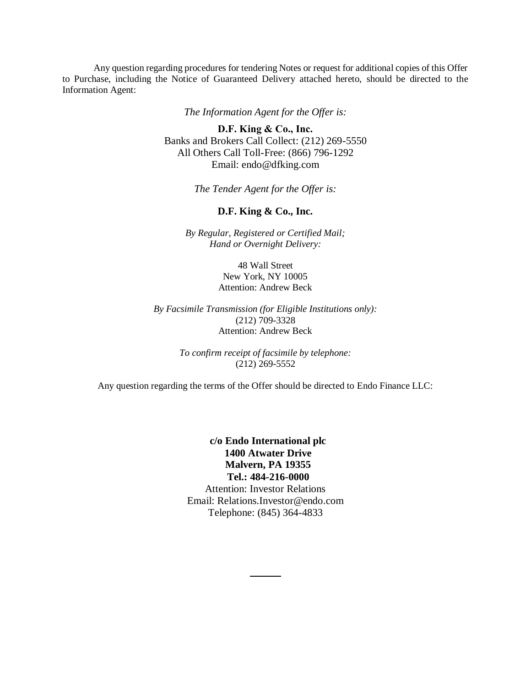Any question regarding procedures for tendering Notes or request for additional copies of this Offer to Purchase, including the Notice of Guaranteed Delivery attached hereto, should be directed to the Information Agent:

*The Information Agent for the Offer is:*

**D.F. King & Co., Inc.**  Banks and Brokers Call Collect: (212) 269-5550 All Others Call Toll-Free: (866) 796-1292 Email: endo@dfking.com

*The Tender Agent for the Offer is:*

## **D.F. King & Co., Inc.**

*By Regular, Registered or Certified Mail; Hand or Overnight Delivery:*

> 48 Wall Street New York, NY 10005 Attention: Andrew Beck

*By Facsimile Transmission (for Eligible Institutions only):* (212) 709-3328 Attention: Andrew Beck

> *To confirm receipt of facsimile by telephone:* (212) 269-5552

Any question regarding the terms of the Offer should be directed to Endo Finance LLC:

**c/o Endo International plc 1400 Atwater Drive Malvern, PA 19355 Tel.: 484-216-0000** Attention: Investor Relations Email: Relations.Investor@endo.com

Telephone: (845) 364-4833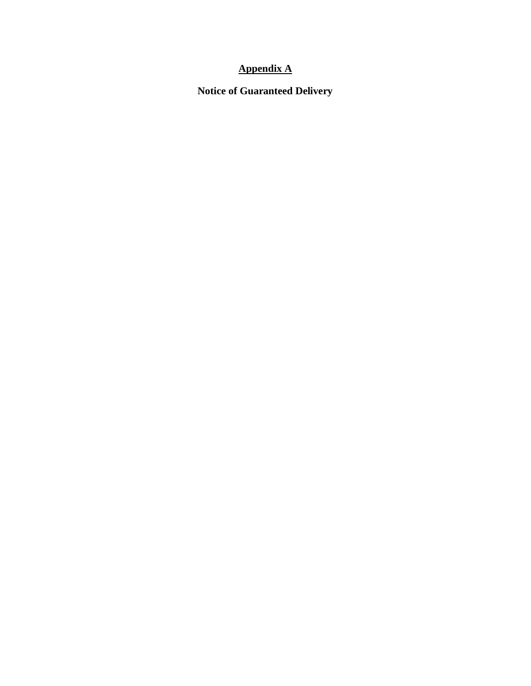# **Appendix A**

**Notice of Guaranteed Delivery**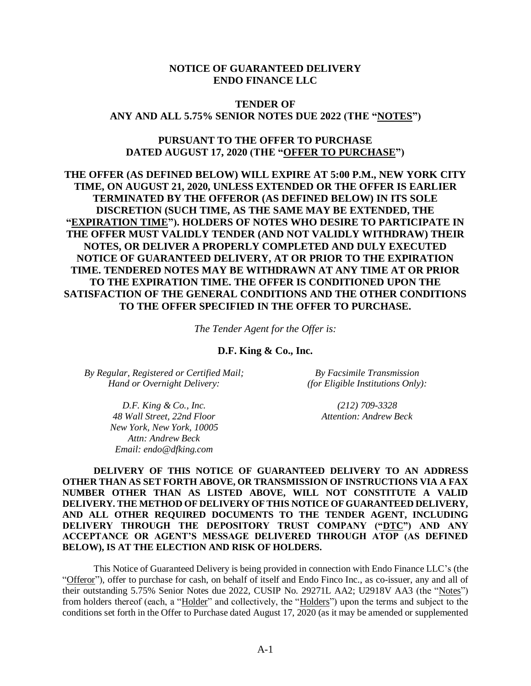# **NOTICE OF GUARANTEED DELIVERY ENDO FINANCE LLC**

# <span id="page-33-0"></span>**TENDER OF ANY AND ALL 5.75% SENIOR NOTES DUE 2022 (THE "NOTES")**

# **PURSUANT TO THE OFFER TO PURCHASE DATED AUGUST 17, 2020 (THE "OFFER TO PURCHASE")**

**THE OFFER (AS DEFINED BELOW) WILL EXPIRE AT 5:00 P.M., NEW YORK CITY TIME, ON AUGUST 21, 2020, UNLESS EXTENDED OR THE OFFER IS EARLIER TERMINATED BY THE OFFEROR (AS DEFINED BELOW) IN ITS SOLE DISCRETION (SUCH TIME, AS THE SAME MAY BE EXTENDED, THE "EXPIRATION TIME"). HOLDERS OF NOTES WHO DESIRE TO PARTICIPATE IN THE OFFER MUST VALIDLY TENDER (AND NOT VALIDLY WITHDRAW) THEIR NOTES, OR DELIVER A PROPERLY COMPLETED AND DULY EXECUTED NOTICE OF GUARANTEED DELIVERY, AT OR PRIOR TO THE EXPIRATION TIME. TENDERED NOTES MAY BE WITHDRAWN AT ANY TIME AT OR PRIOR TO THE EXPIRATION TIME. THE OFFER IS CONDITIONED UPON THE SATISFACTION OF THE GENERAL CONDITIONS AND THE OTHER CONDITIONS TO THE OFFER SPECIFIED IN THE OFFER TO PURCHASE.**

*The Tender Agent for the Offer is:*

**D.F. King & Co., Inc.**

*By Regular, Registered or Certified Mail; Hand or Overnight Delivery:*

*By Facsimile Transmission (for Eligible Institutions Only):*

*D.F. King & Co., Inc. 48 Wall Street, 22nd Floor New York, New York, 10005 Attn: Andrew Beck Email: endo@dfking.com*

*(212) 709-3328 Attention: Andrew Beck*

**DELIVERY OF THIS NOTICE OF GUARANTEED DELIVERY TO AN ADDRESS OTHER THAN AS SET FORTH ABOVE, OR TRANSMISSION OF INSTRUCTIONS VIA A FAX NUMBER OTHER THAN AS LISTED ABOVE, WILL NOT CONSTITUTE A VALID DELIVERY. THE METHOD OF DELIVERY OF THIS NOTICE OF GUARANTEED DELIVERY, AND ALL OTHER REQUIRED DOCUMENTS TO THE TENDER AGENT, INCLUDING DELIVERY THROUGH THE DEPOSITORY TRUST COMPANY ("DTC") AND ANY ACCEPTANCE OR AGENT'S MESSAGE DELIVERED THROUGH ATOP (AS DEFINED BELOW), IS AT THE ELECTION AND RISK OF HOLDERS.**

This Notice of Guaranteed Delivery is being provided in connection with Endo Finance LLC's (the "Offeror"), offer to purchase for cash, on behalf of itself and Endo Finco Inc., as co-issuer, any and all of their outstanding 5.75% Senior Notes due 2022, CUSIP No. 29271L AA2; U2918V AA3 (the "Notes") from holders thereof (each, a "Holder" and collectively, the "Holders") upon the terms and subject to the conditions set forth in the Offer to Purchase dated August 17, 2020 (as it may be amended or supplemented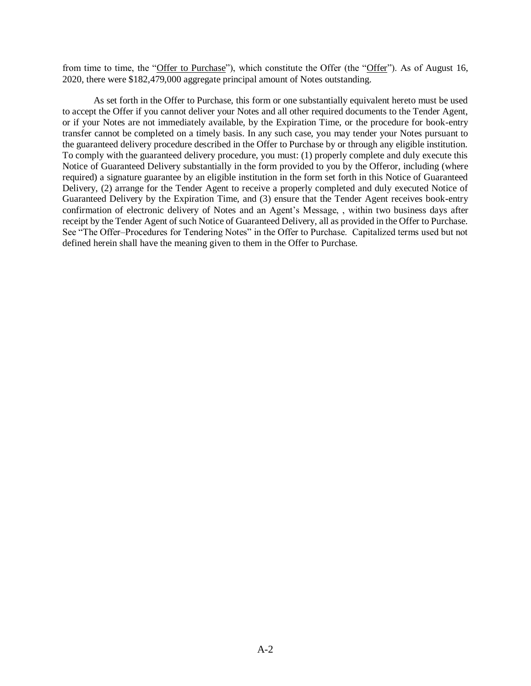from time to time, the "Offer to Purchase"), which constitute the Offer (the "Offer"). As of August 16, 2020, there were \$182,479,000 aggregate principal amount of Notes outstanding.

As set forth in the Offer to Purchase, this form or one substantially equivalent hereto must be used to accept the Offer if you cannot deliver your Notes and all other required documents to the Tender Agent, or if your Notes are not immediately available, by the Expiration Time, or the procedure for book-entry transfer cannot be completed on a timely basis. In any such case, you may tender your Notes pursuant to the guaranteed delivery procedure described in the Offer to Purchase by or through any eligible institution. To comply with the guaranteed delivery procedure, you must: (1) properly complete and duly execute this Notice of Guaranteed Delivery substantially in the form provided to you by the Offeror, including (where required) a signature guarantee by an eligible institution in the form set forth in this Notice of Guaranteed Delivery, (2) arrange for the Tender Agent to receive a properly completed and duly executed Notice of Guaranteed Delivery by the Expiration Time, and (3) ensure that the Tender Agent receives book-entry confirmation of electronic delivery of Notes and an Agent's Message, , within two business days after receipt by the Tender Agent of such Notice of Guaranteed Delivery, all as provided in the Offer to Purchase. See "The Offer–Procedures for Tendering Notes" in the Offer to Purchase. Capitalized terms used but not defined herein shall have the meaning given to them in the Offer to Purchase.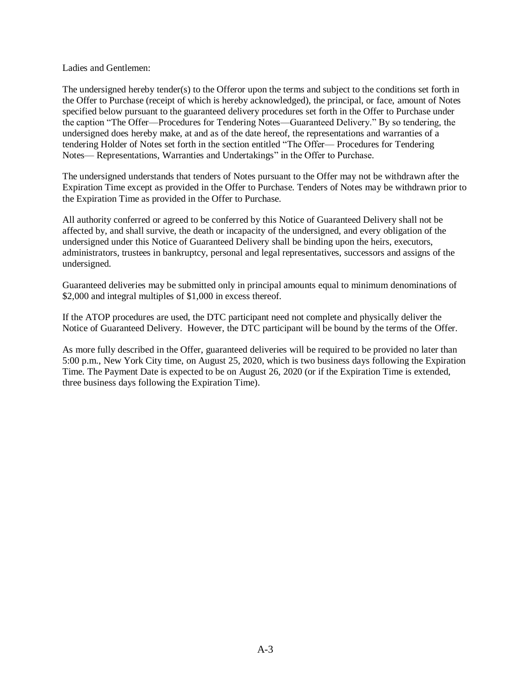Ladies and Gentlemen:

The undersigned hereby tender(s) to the Offeror upon the terms and subject to the conditions set forth in the Offer to Purchase (receipt of which is hereby acknowledged), the principal, or face, amount of Notes specified below pursuant to the guaranteed delivery procedures set forth in the Offer to Purchase under the caption "The Offer—Procedures for Tendering Notes—Guaranteed Delivery." By so tendering, the undersigned does hereby make, at and as of the date hereof, the representations and warranties of a tendering Holder of Notes set forth in the section entitled "The Offer— Procedures for Tendering Notes— Representations, Warranties and Undertakings" in the Offer to Purchase.

The undersigned understands that tenders of Notes pursuant to the Offer may not be withdrawn after the Expiration Time except as provided in the Offer to Purchase. Tenders of Notes may be withdrawn prior to the Expiration Time as provided in the Offer to Purchase.

All authority conferred or agreed to be conferred by this Notice of Guaranteed Delivery shall not be affected by, and shall survive, the death or incapacity of the undersigned, and every obligation of the undersigned under this Notice of Guaranteed Delivery shall be binding upon the heirs, executors, administrators, trustees in bankruptcy, personal and legal representatives, successors and assigns of the undersigned.

Guaranteed deliveries may be submitted only in principal amounts equal to minimum denominations of \$2,000 and integral multiples of \$1,000 in excess thereof.

If the ATOP procedures are used, the DTC participant need not complete and physically deliver the Notice of Guaranteed Delivery. However, the DTC participant will be bound by the terms of the Offer.

As more fully described in the Offer, guaranteed deliveries will be required to be provided no later than 5:00 p.m., New York City time, on August 25, 2020, which is two business days following the Expiration Time. The Payment Date is expected to be on August 26, 2020 (or if the Expiration Time is extended, three business days following the Expiration Time).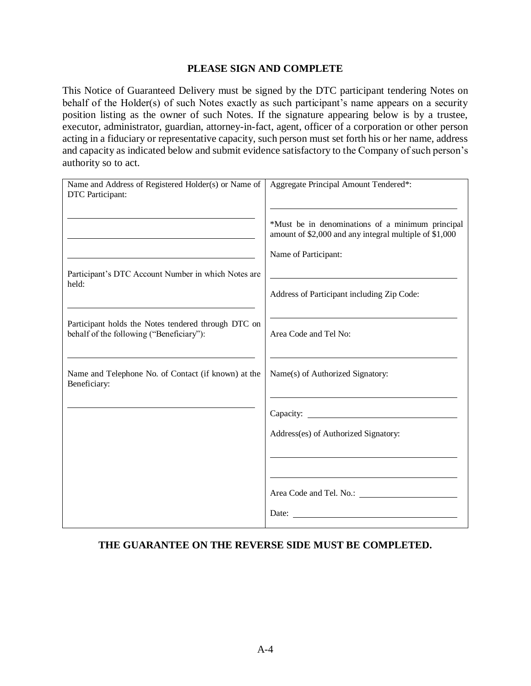# **PLEASE SIGN AND COMPLETE**

This Notice of Guaranteed Delivery must be signed by the DTC participant tendering Notes on behalf of the Holder(s) of such Notes exactly as such participant's name appears on a security position listing as the owner of such Notes. If the signature appearing below is by a trustee, executor, administrator, guardian, attorney-in-fact, agent, officer of a corporation or other person acting in a fiduciary or representative capacity, such person must set forth his or her name, address and capacity as indicated below and submit evidence satisfactory to the Company of such person's authority so to act.

| Name and Address of Registered Holder(s) or Name of<br>DTC Participant:                         | Aggregate Principal Amount Tendered*:                                                                                              |
|-------------------------------------------------------------------------------------------------|------------------------------------------------------------------------------------------------------------------------------------|
|                                                                                                 | *Must be in denominations of a minimum principal<br>amount of \$2,000 and any integral multiple of \$1,000<br>Name of Participant: |
| Participant's DTC Account Number in which Notes are<br>held:                                    | Address of Participant including Zip Code:                                                                                         |
| Participant holds the Notes tendered through DTC on<br>behalf of the following ("Beneficiary"): | Area Code and Tel No:                                                                                                              |
| Name and Telephone No. of Contact (if known) at the<br>Beneficiary:                             | Name(s) of Authorized Signatory:                                                                                                   |
|                                                                                                 |                                                                                                                                    |
|                                                                                                 | Address(es) of Authorized Signatory:                                                                                               |
|                                                                                                 |                                                                                                                                    |
|                                                                                                 |                                                                                                                                    |
|                                                                                                 | Date:                                                                                                                              |

# **THE GUARANTEE ON THE REVERSE SIDE MUST BE COMPLETED.**